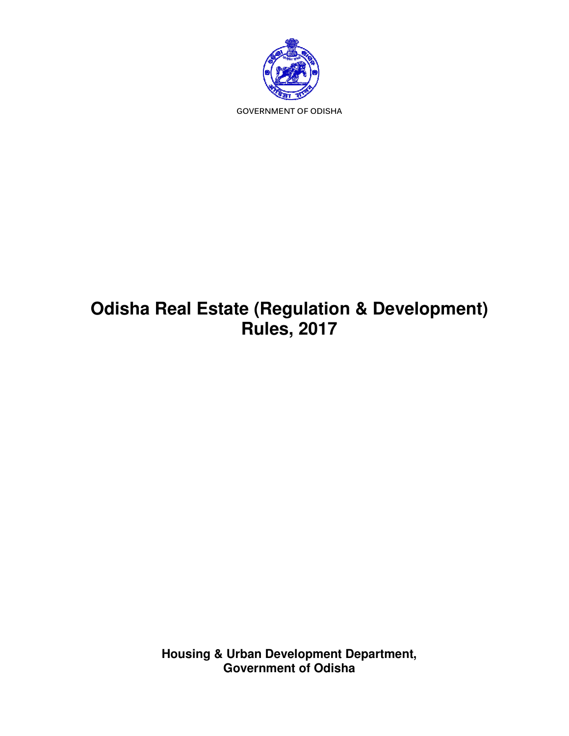

# **Odisha Real Estate (Regulation & Development) Real Rules, 2017 Odisha Real Estate**

**Housing & Urban Development Department, Government of Odisha**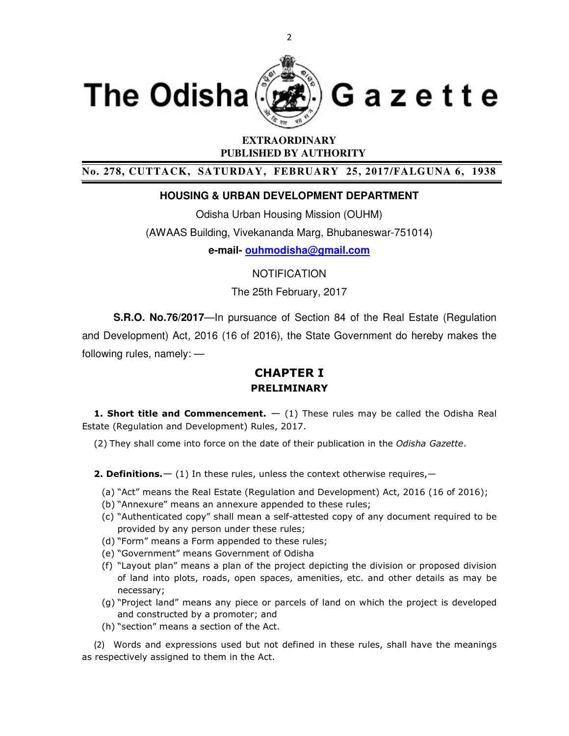

# **EXTRAORDINARY PUBLISHED BY AUTHORITY**

**No. 278, CUTTACK, SATURDAY, FEBRUARY 25, 2017/FALGUNA 6, 1938** 

### **HOUSING & URBAN DEVELOPMENT DEPARTMENT**

Odisha Urban Housing Mission (OUHM) (AWAAS Building, Vivekananda Marg, Bhubaneswar-751014) **e-mail- ouhmodisha@gmail.com**

NOTIFICATION

The 25th February, 2017

**S.R.O. No.76/2017**—In pursuance of Section 84 of the Real Estate (Regulation and Development) Act, 2016 (16 of 2016), the State Government do hereby makes the following rules, namely: —

# **CHAPTER I PRELIMINARY**

**1. Short title and Commencement.** — (1) These rules may be called the Odisha Real Estate (Regulation and Development) Rules, 2017.

(2) They shall come into force on the date of their publication in the *Odisha Gazette*.

**2. Definitions.**  $-$  (1) In these rules, unless the context otherwise requires,  $-$ 

- (a) "Act" means the Real Estate (Regulation and Development) Act, 2016 (16 of 2016);
- (b) "Annexure" means an annexure appended to these rules;
- (c) "Authenticated copy" shall mean a self-attested copy of any document required to be provided by any person under these rules;
- (d) "Form" means a Form appended to these rules;
- (e) "Government" means Government of Odisha
- (f) "Layout plan" means a plan of the project depicting the division or proposed division of land into plots, roads, open spaces, amenities, etc. and other details as may be necessary;
- (g) "Project land" means any piece or parcels of land on which the project is developed and constructed by a promoter; and
- (h) "section" means a section of the Act.

(2) Words and expressions used but not defined in these rules, shall have the meanings as respectively assigned to them in the Act.

2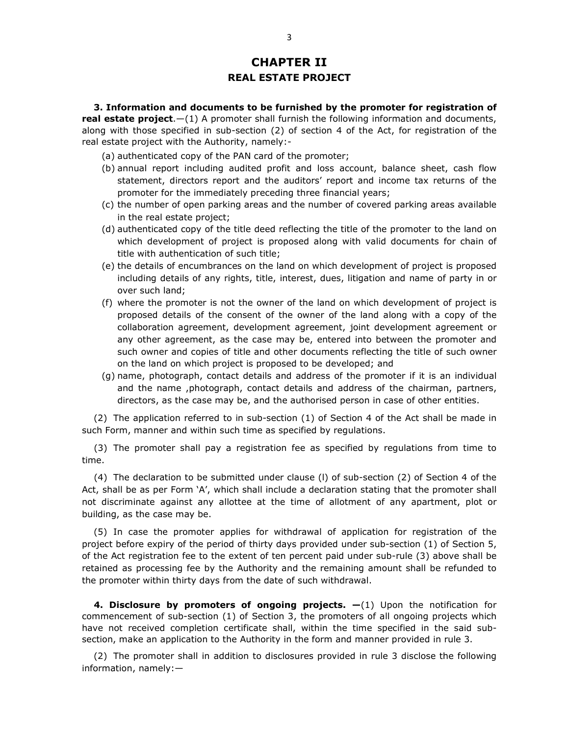# **CHAPTER II REAL ESTATE PROJECT**

**3. Information and documents to be furnished by the promoter for registration of real estate project**.—(1) A promoter shall furnish the following information and documents, along with those specified in sub-section (2) of section 4 of the Act, for registration of the real estate project with the Authority, namely:-

- (a) authenticated copy of the PAN card of the promoter;
- (b) annual report including audited profit and loss account, balance sheet, cash flow statement, directors report and the auditors' report and income tax returns of the promoter for the immediately preceding three financial years;
- (c) the number of open parking areas and the number of covered parking areas available in the real estate project;
- (d) authenticated copy of the title deed reflecting the title of the promoter to the land on which development of project is proposed along with valid documents for chain of title with authentication of such title;
- (e) the details of encumbrances on the land on which development of project is proposed including details of any rights, title, interest, dues, litigation and name of party in or over such land;
- (f) where the promoter is not the owner of the land on which development of project is proposed details of the consent of the owner of the land along with a copy of the collaboration agreement, development agreement, joint development agreement or any other agreement, as the case may be, entered into between the promoter and such owner and copies of title and other documents reflecting the title of such owner on the land on which project is proposed to be developed; and
- (g) name, photograph, contact details and address of the promoter if it is an individual and the name ,photograph, contact details and address of the chairman, partners, directors, as the case may be, and the authorised person in case of other entities.

(2) The application referred to in sub-section (1) of Section 4 of the Act shall be made in such Form, manner and within such time as specified by regulations.

(3) The promoter shall pay a registration fee as specified by regulations from time to time.

(4) The declaration to be submitted under clause (l) of sub-section (2) of Section 4 of the Act, shall be as per Form 'A', which shall include a declaration stating that the promoter shall not discriminate against any allottee at the time of allotment of any apartment, plot or building, as the case may be.

(5) In case the promoter applies for withdrawal of application for registration of the project before expiry of the period of thirty days provided under sub-section (1) of Section 5, of the Act registration fee to the extent of ten percent paid under sub-rule (3) above shall be retained as processing fee by the Authority and the remaining amount shall be refunded to the promoter within thirty days from the date of such withdrawal.

**4. Disclosure by promoters of ongoing projects. —**(1) Upon the notification for commencement of sub-section (1) of Section 3, the promoters of all ongoing projects which have not received completion certificate shall, within the time specified in the said subsection, make an application to the Authority in the form and manner provided in rule 3.

(2) The promoter shall in addition to disclosures provided in rule 3 disclose the following information, namely:—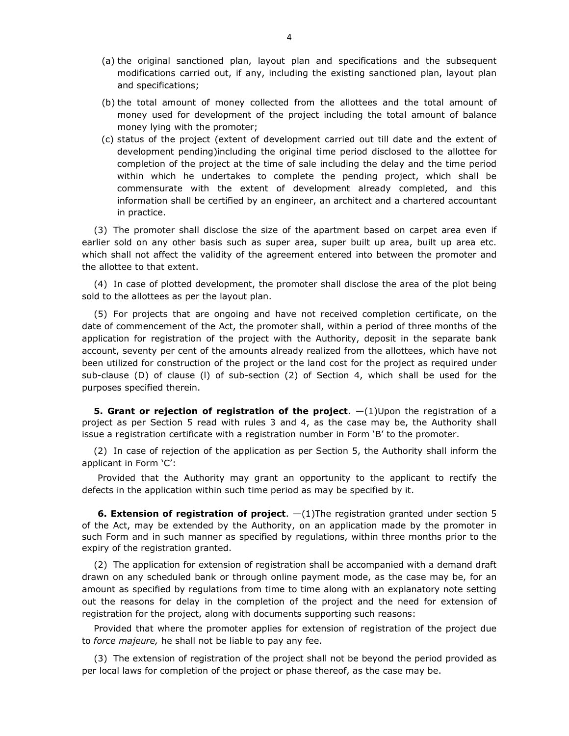- (a) the original sanctioned plan, layout plan and specifications and the subsequent modifications carried out, if any, including the existing sanctioned plan, layout plan and specifications;
- (b) the total amount of money collected from the allottees and the total amount of money used for development of the project including the total amount of balance money lying with the promoter;
- (c) status of the project (extent of development carried out till date and the extent of development pending)including the original time period disclosed to the allottee for completion of the project at the time of sale including the delay and the time period within which he undertakes to complete the pending project, which shall be commensurate with the extent of development already completed, and this information shall be certified by an engineer, an architect and a chartered accountant in practice.

(3) The promoter shall disclose the size of the apartment based on carpet area even if earlier sold on any other basis such as super area, super built up area, built up area etc. which shall not affect the validity of the agreement entered into between the promoter and the allottee to that extent.

(4) In case of plotted development, the promoter shall disclose the area of the plot being sold to the allottees as per the layout plan.

(5) For projects that are ongoing and have not received completion certificate, on the date of commencement of the Act, the promoter shall, within a period of three months of the application for registration of the project with the Authority, deposit in the separate bank account, seventy per cent of the amounts already realized from the allottees, which have not been utilized for construction of the project or the land cost for the project as required under sub-clause (D) of clause (l) of sub-section (2) of Section 4, which shall be used for the purposes specified therein.

**5. Grant or rejection of registration of the project**. —(1)Upon the registration of a project as per Section 5 read with rules 3 and 4, as the case may be, the Authority shall issue a registration certificate with a registration number in Form 'B' to the promoter.

(2) In case of rejection of the application as per Section 5, the Authority shall inform the applicant in Form 'C':

Provided that the Authority may grant an opportunity to the applicant to rectify the defects in the application within such time period as may be specified by it.

**6. Extension of registration of project**.  $-(1)$ The registration granted under section 5 of the Act, may be extended by the Authority, on an application made by the promoter in such Form and in such manner as specified by regulations, within three months prior to the expiry of the registration granted.

(2) The application for extension of registration shall be accompanied with a demand draft drawn on any scheduled bank or through online payment mode, as the case may be, for an amount as specified by regulations from time to time along with an explanatory note setting out the reasons for delay in the completion of the project and the need for extension of registration for the project, along with documents supporting such reasons:

Provided that where the promoter applies for extension of registration of the project due to *force majeure,* he shall not be liable to pay any fee.

(3) The extension of registration of the project shall not be beyond the period provided as per local laws for completion of the project or phase thereof, as the case may be.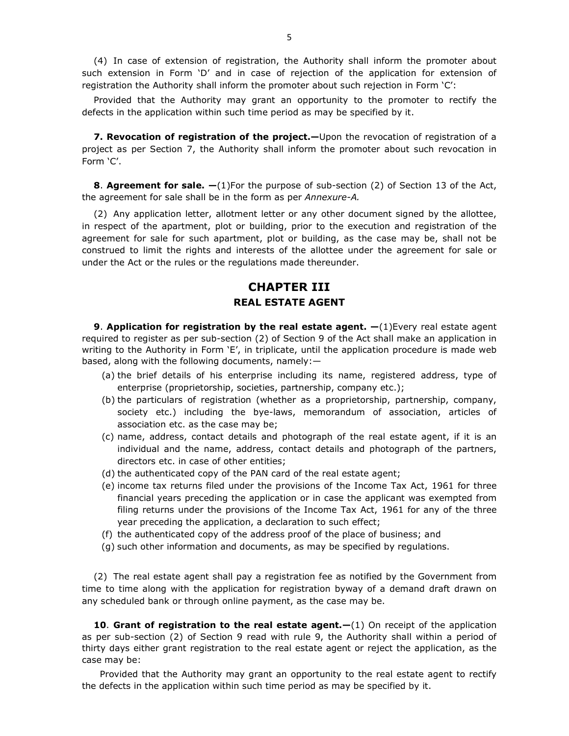(4) In case of extension of registration, the Authority shall inform the promoter about such extension in Form 'D' and in case of rejection of the application for extension of registration the Authority shall inform the promoter about such rejection in Form 'C':

Provided that the Authority may grant an opportunity to the promoter to rectify the defects in the application within such time period as may be specified by it.

**7. Revocation of registration of the project.—**Upon the revocation of registration of a project as per Section 7, the Authority shall inform the promoter about such revocation in Form 'C'.

**8**. **Agreement for sale. —**(1)For the purpose of sub-section (2) of Section 13 of the Act, the agreement for sale shall be in the form as per *Annexure-A.*

(2) Any application letter, allotment letter or any other document signed by the allottee, in respect of the apartment, plot or building, prior to the execution and registration of the agreement for sale for such apartment, plot or building, as the case may be, shall not be construed to limit the rights and interests of the allottee under the agreement for sale or under the Act or the rules or the regulations made thereunder.

# **CHAPTER III REAL ESTATE AGENT**

**9. Application for registration by the real estate agent.**  $-(1)$ Every real estate agent required to register as per sub-section (2) of Section 9 of the Act shall make an application in writing to the Authority in Form 'E', in triplicate, until the application procedure is made web based, along with the following documents, namely:—

- (a) the brief details of his enterprise including its name, registered address, type of enterprise (proprietorship, societies, partnership, company etc.);
- (b) the particulars of registration (whether as a proprietorship, partnership, company, society etc.) including the bye-laws, memorandum of association, articles of association etc. as the case may be;
- (c) name, address, contact details and photograph of the real estate agent, if it is an individual and the name, address, contact details and photograph of the partners, directors etc. in case of other entities;
- (d) the authenticated copy of the PAN card of the real estate agent;
- (e) income tax returns filed under the provisions of the Income Tax Act, 1961 for three financial years preceding the application or in case the applicant was exempted from filing returns under the provisions of the Income Tax Act, 1961 for any of the three year preceding the application, a declaration to such effect;
- (f) the authenticated copy of the address proof of the place of business; and
- (g) such other information and documents, as may be specified by regulations.

(2) The real estate agent shall pay a registration fee as notified by the Government from time to time along with the application for registration byway of a demand draft drawn on any scheduled bank or through online payment, as the case may be.

**10. Grant of registration to the real estate agent.—(1) On receipt of the application** as per sub-section (2) of Section 9 read with rule 9, the Authority shall within a period of thirty days either grant registration to the real estate agent or reject the application, as the case may be:

 Provided that the Authority may grant an opportunity to the real estate agent to rectify the defects in the application within such time period as may be specified by it.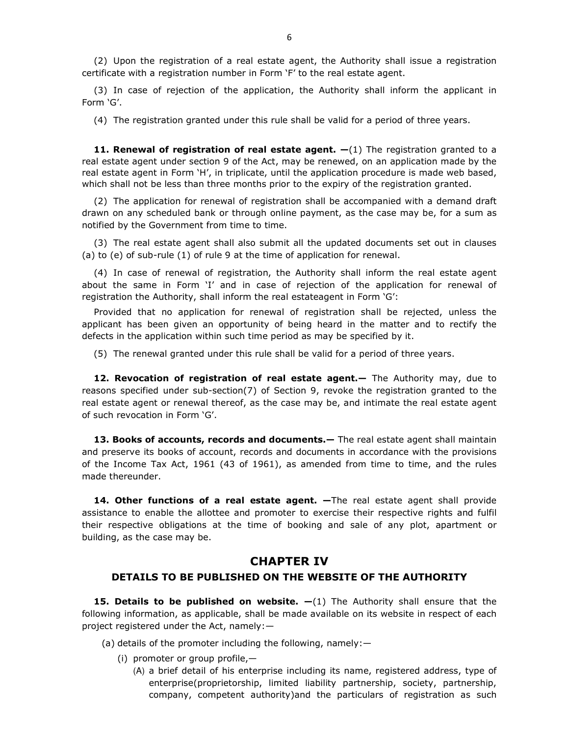(2) Upon the registration of a real estate agent, the Authority shall issue a registration certificate with a registration number in Form 'F' to the real estate agent.

(3) In case of rejection of the application, the Authority shall inform the applicant in Form 'G'.

(4) The registration granted under this rule shall be valid for a period of three years.

**11. Renewal of registration of real estate agent.**  $-(1)$  The registration granted to a real estate agent under section 9 of the Act, may be renewed, on an application made by the real estate agent in Form 'H', in triplicate, until the application procedure is made web based, which shall not be less than three months prior to the expiry of the registration granted.

(2) The application for renewal of registration shall be accompanied with a demand draft drawn on any scheduled bank or through online payment, as the case may be, for a sum as notified by the Government from time to time.

(3) The real estate agent shall also submit all the updated documents set out in clauses (a) to (e) of sub-rule (1) of rule 9 at the time of application for renewal.

(4) In case of renewal of registration, the Authority shall inform the real estate agent about the same in Form 'I' and in case of rejection of the application for renewal of registration the Authority, shall inform the real estateagent in Form 'G':

Provided that no application for renewal of registration shall be rejected, unless the applicant has been given an opportunity of being heard in the matter and to rectify the defects in the application within such time period as may be specified by it.

(5) The renewal granted under this rule shall be valid for a period of three years.

12. Revocation of registration of real estate agent. - The Authority may, due to reasons specified under sub-section(7) of Section 9, revoke the registration granted to the real estate agent or renewal thereof, as the case may be, and intimate the real estate agent of such revocation in Form 'G'.

**13. Books of accounts, records and documents.—** The real estate agent shall maintain and preserve its books of account, records and documents in accordance with the provisions of the Income Tax Act, 1961 (43 of 1961), as amended from time to time, and the rules made thereunder.

14. Other functions of a real estate agent. - The real estate agent shall provide assistance to enable the allottee and promoter to exercise their respective rights and fulfil their respective obligations at the time of booking and sale of any plot, apartment or building, as the case may be.

#### **CHAPTER IV**

#### **DETAILS TO BE PUBLISHED ON THE WEBSITE OF THE AUTHORITY**

**15. Details to be published on website.**  $-(1)$  The Authority shall ensure that the following information, as applicable, shall be made available on its website in respect of each project registered under the Act, namely:—

(a) details of the promoter including the following, namely:—

(i) promoter or group profile,—

(A) a brief detail of his enterprise including its name, registered address, type of enterprise(proprietorship, limited liability partnership, society, partnership, company, competent authority)and the particulars of registration as such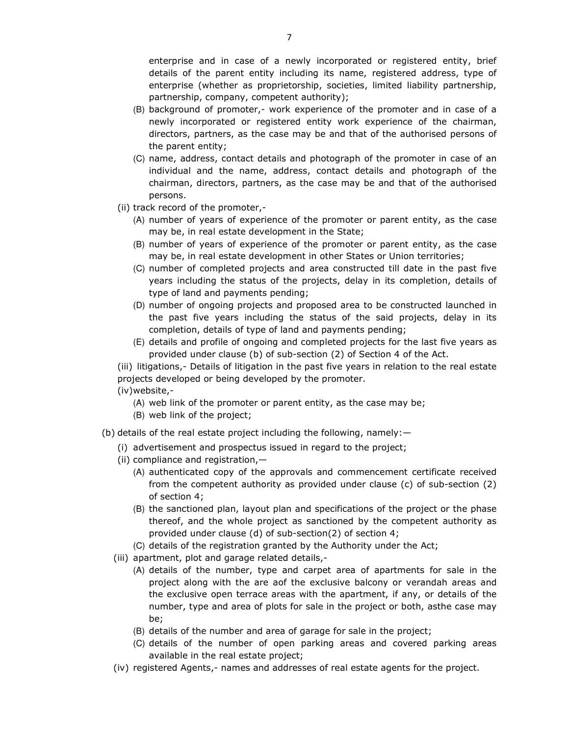enterprise and in case of a newly incorporated or registered entity, brief details of the parent entity including its name, registered address, type of enterprise (whether as proprietorship, societies, limited liability partnership, partnership, company, competent authority);

- (B) background of promoter,- work experience of the promoter and in case of a newly incorporated or registered entity work experience of the chairman, directors, partners, as the case may be and that of the authorised persons of the parent entity;
- (C) name, address, contact details and photograph of the promoter in case of an individual and the name, address, contact details and photograph of the chairman, directors, partners, as the case may be and that of the authorised persons.
- (ii) track record of the promoter,-
	- (A) number of years of experience of the promoter or parent entity, as the case may be, in real estate development in the State;
	- (B) number of years of experience of the promoter or parent entity, as the case may be, in real estate development in other States or Union territories;
	- (C) number of completed projects and area constructed till date in the past five years including the status of the projects, delay in its completion, details of type of land and payments pending;
	- (D) number of ongoing projects and proposed area to be constructed launched in the past five years including the status of the said projects, delay in its completion, details of type of land and payments pending;
	- (E) details and profile of ongoing and completed projects for the last five years as provided under clause (b) of sub-section (2) of Section 4 of the Act.

(iii) litigations,- Details of litigation in the past five years in relation to the real estate projects developed or being developed by the promoter.

(iv)website,-

- (A) web link of the promoter or parent entity, as the case may be;
- (B) web link of the project;
- (b) details of the real estate project including the following, namely:—
	- (i) advertisement and prospectus issued in regard to the project;
	- (ii) compliance and registration,—
		- (A) authenticated copy of the approvals and commencement certificate received from the competent authority as provided under clause (c) of sub-section (2) of section 4;
		- (B) the sanctioned plan, layout plan and specifications of the project or the phase thereof, and the whole project as sanctioned by the competent authority as provided under clause (d) of sub-section(2) of section 4;
		- (C) details of the registration granted by the Authority under the Act;
	- (iii) apartment, plot and garage related details,-
		- (A) details of the number, type and carpet area of apartments for sale in the project along with the are aof the exclusive balcony or verandah areas and the exclusive open terrace areas with the apartment, if any, or details of the number, type and area of plots for sale in the project or both, asthe case may be;
		- (B) details of the number and area of garage for sale in the project;
		- (C) details of the number of open parking areas and covered parking areas available in the real estate project;
	- (iv) registered Agents,- names and addresses of real estate agents for the project.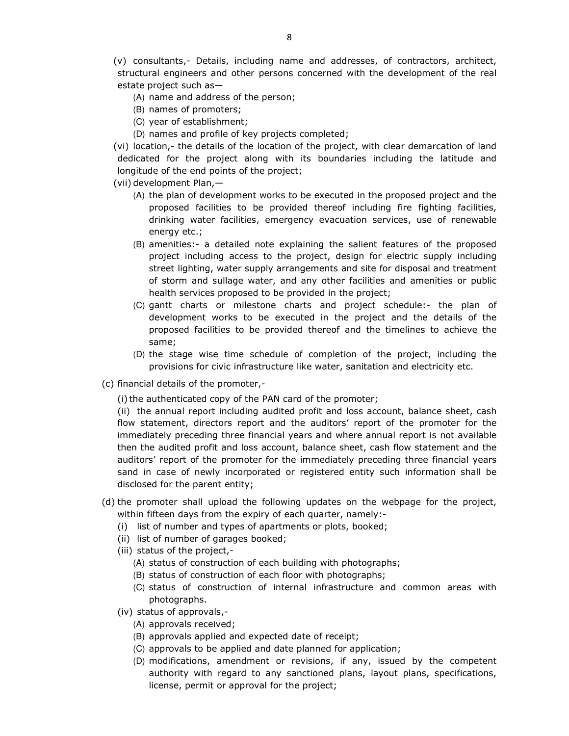(v) consultants,- Details, including name and addresses, of contractors, architect, structural engineers and other persons concerned with the development of the real estate project such as—

- (A) name and address of the person;
- (B) names of promoters;
- (C) year of establishment;
- (D) names and profile of key projects completed;

(vi) location,- the details of the location of the project, with clear demarcation of land dedicated for the project along with its boundaries including the latitude and longitude of the end points of the project;

(vii) development Plan,—

- (A) the plan of development works to be executed in the proposed project and the proposed facilities to be provided thereof including fire fighting facilities, drinking water facilities, emergency evacuation services, use of renewable energy etc.;
- (B) amenities:- a detailed note explaining the salient features of the proposed project including access to the project, design for electric supply including street lighting, water supply arrangements and site for disposal and treatment of storm and sullage water, and any other facilities and amenities or public health services proposed to be provided in the project;
- (C) gantt charts or milestone charts and project schedule:- the plan of development works to be executed in the project and the details of the proposed facilities to be provided thereof and the timelines to achieve the same;
- (D) the stage wise time schedule of completion of the project, including the provisions for civic infrastructure like water, sanitation and electricity etc.
- (c) financial details of the promoter,-

(i) the authenticated copy of the PAN card of the promoter;

(ii) the annual report including audited profit and loss account, balance sheet, cash flow statement, directors report and the auditors' report of the promoter for the immediately preceding three financial years and where annual report is not available then the audited profit and loss account, balance sheet, cash flow statement and the auditors' report of the promoter for the immediately preceding three financial years sand in case of newly incorporated or registered entity such information shall be disclosed for the parent entity;

- (d) the promoter shall upload the following updates on the webpage for the project, within fifteen days from the expiry of each quarter, namely:-
	- (i) list of number and types of apartments or plots, booked;
	- (ii) list of number of garages booked;
	- (iii) status of the project,-
		- (A) status of construction of each building with photographs;
		- (B) status of construction of each floor with photographs;
		- (C) status of construction of internal infrastructure and common areas with photographs.
	- (iv) status of approvals,-
		- (A) approvals received;
		- (B) approvals applied and expected date of receipt;
		- (C) approvals to be applied and date planned for application;
		- (D) modifications, amendment or revisions, if any, issued by the competent authority with regard to any sanctioned plans, layout plans, specifications, license, permit or approval for the project;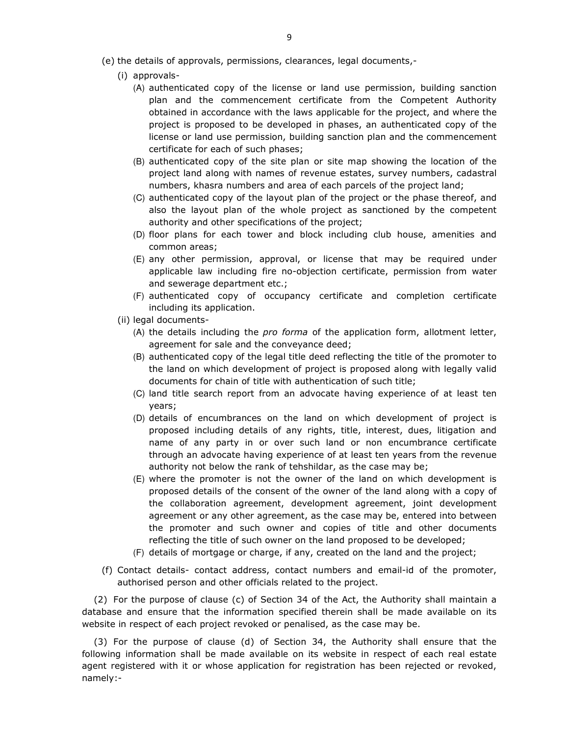- (i) approvals-
	- (A) authenticated copy of the license or land use permission, building sanction plan and the commencement certificate from the Competent Authority obtained in accordance with the laws applicable for the project, and where the project is proposed to be developed in phases, an authenticated copy of the license or land use permission, building sanction plan and the commencement certificate for each of such phases;
	- (B) authenticated copy of the site plan or site map showing the location of the project land along with names of revenue estates, survey numbers, cadastral numbers, khasra numbers and area of each parcels of the project land;
	- (C) authenticated copy of the layout plan of the project or the phase thereof, and also the layout plan of the whole project as sanctioned by the competent authority and other specifications of the project;
	- (D) floor plans for each tower and block including club house, amenities and common areas;
	- (E) any other permission, approval, or license that may be required under applicable law including fire no-objection certificate, permission from water and sewerage department etc.;
	- (F) authenticated copy of occupancy certificate and completion certificate including its application.
- (ii) legal documents-
	- (A) the details including the *pro forma* of the application form, allotment letter, agreement for sale and the conveyance deed;
	- (B) authenticated copy of the legal title deed reflecting the title of the promoter to the land on which development of project is proposed along with legally valid documents for chain of title with authentication of such title;
	- (C) land title search report from an advocate having experience of at least ten years;
	- (D) details of encumbrances on the land on which development of project is proposed including details of any rights, title, interest, dues, litigation and name of any party in or over such land or non encumbrance certificate through an advocate having experience of at least ten years from the revenue authority not below the rank of tehshildar, as the case may be;
	- (E) where the promoter is not the owner of the land on which development is proposed details of the consent of the owner of the land along with a copy of the collaboration agreement, development agreement, joint development agreement or any other agreement, as the case may be, entered into between the promoter and such owner and copies of title and other documents reflecting the title of such owner on the land proposed to be developed;
	- (F) details of mortgage or charge, if any, created on the land and the project;
- (f) Contact details- contact address, contact numbers and email-id of the promoter, authorised person and other officials related to the project.

(2) For the purpose of clause (c) of Section 34 of the Act, the Authority shall maintain a database and ensure that the information specified therein shall be made available on its website in respect of each project revoked or penalised, as the case may be.

(3) For the purpose of clause (d) of Section 34, the Authority shall ensure that the following information shall be made available on its website in respect of each real estate agent registered with it or whose application for registration has been rejected or revoked, namely:-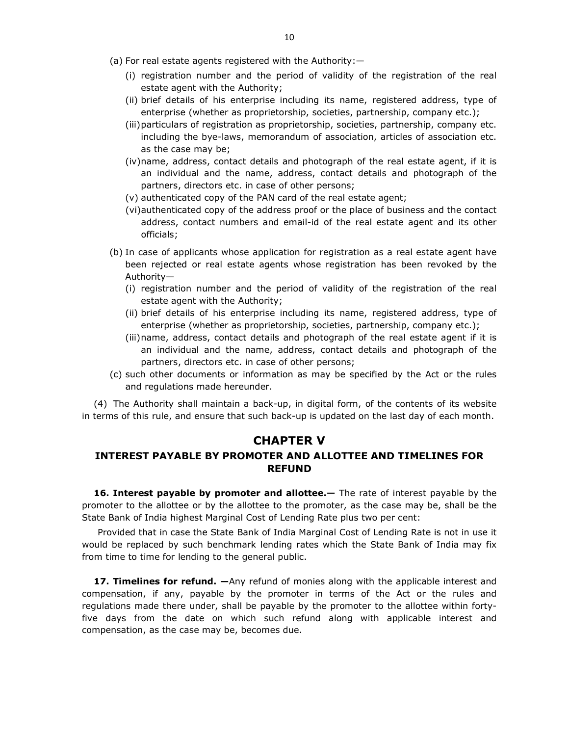- (a) For real estate agents registered with the Authority:—
	- (i) registration number and the period of validity of the registration of the real estate agent with the Authority;
	- (ii) brief details of his enterprise including its name, registered address, type of enterprise (whether as proprietorship, societies, partnership, company etc.);
	- (iii)particulars of registration as proprietorship, societies, partnership, company etc. including the bye-laws, memorandum of association, articles of association etc. as the case may be;
	- (iv)name, address, contact details and photograph of the real estate agent, if it is an individual and the name, address, contact details and photograph of the partners, directors etc. in case of other persons;
	- (v) authenticated copy of the PAN card of the real estate agent;
	- (vi)authenticated copy of the address proof or the place of business and the contact address, contact numbers and email-id of the real estate agent and its other officials;
- (b) In case of applicants whose application for registration as a real estate agent have been rejected or real estate agents whose registration has been revoked by the Authority—
	- (i) registration number and the period of validity of the registration of the real estate agent with the Authority;
	- (ii) brief details of his enterprise including its name, registered address, type of enterprise (whether as proprietorship, societies, partnership, company etc.);
	- (iii)name, address, contact details and photograph of the real estate agent if it is an individual and the name, address, contact details and photograph of the partners, directors etc. in case of other persons;
- (c) such other documents or information as may be specified by the Act or the rules and regulations made hereunder.

(4) The Authority shall maintain a back-up, in digital form, of the contents of its website in terms of this rule, and ensure that such back-up is updated on the last day of each month.

#### **CHAPTER V**

#### **INTEREST PAYABLE BY PROMOTER AND ALLOTTEE AND TIMELINES FOR REFUND**

**16. Interest payable by promoter and allottee.—** The rate of interest payable by the promoter to the allottee or by the allottee to the promoter, as the case may be, shall be the State Bank of India highest Marginal Cost of Lending Rate plus two per cent:

Provided that in case the State Bank of India Marginal Cost of Lending Rate is not in use it would be replaced by such benchmark lending rates which the State Bank of India may fix from time to time for lending to the general public.

**17. Timelines for refund.**  $-\text{Any refund}$  of monies along with the applicable interest and compensation, if any, payable by the promoter in terms of the Act or the rules and regulations made there under, shall be payable by the promoter to the allottee within fortyfive days from the date on which such refund along with applicable interest and compensation, as the case may be, becomes due.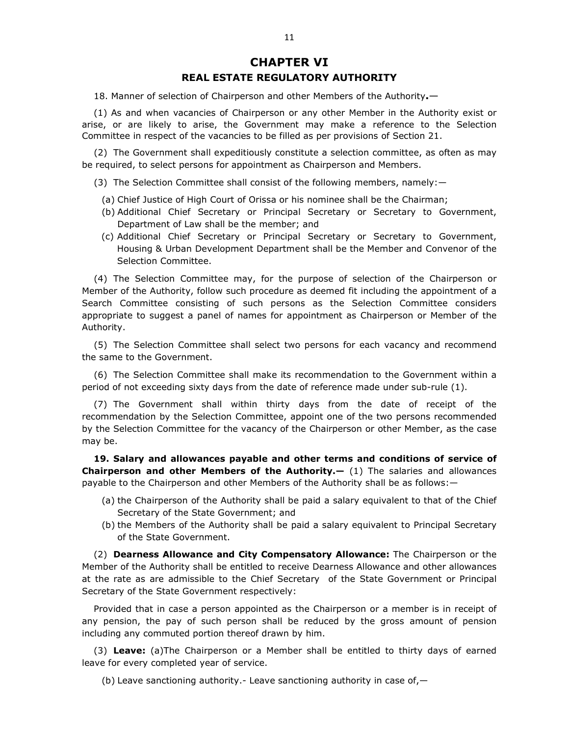# **CHAPTER VI REAL ESTATE REGULATORY AUTHORITY**

18. Manner of selection of Chairperson and other Members of the Authority**.**—

(1) As and when vacancies of Chairperson or any other Member in the Authority exist or arise, or are likely to arise, the Government may make a reference to the Selection Committee in respect of the vacancies to be filled as per provisions of Section 21.

(2) The Government shall expeditiously constitute a selection committee, as often as may be required, to select persons for appointment as Chairperson and Members.

- (3) The Selection Committee shall consist of the following members, namely:—
	- (a) Chief Justice of High Court of Orissa or his nominee shall be the Chairman;
	- (b) Additional Chief Secretary or Principal Secretary or Secretary to Government, Department of Law shall be the member; and
	- (c) Additional Chief Secretary or Principal Secretary or Secretary to Government, Housing & Urban Development Department shall be the Member and Convenor of the Selection Committee.

(4) The Selection Committee may, for the purpose of selection of the Chairperson or Member of the Authority, follow such procedure as deemed fit including the appointment of a Search Committee consisting of such persons as the Selection Committee considers appropriate to suggest a panel of names for appointment as Chairperson or Member of the Authority.

(5) The Selection Committee shall select two persons for each vacancy and recommend the same to the Government.

(6) The Selection Committee shall make its recommendation to the Government within a period of not exceeding sixty days from the date of reference made under sub-rule (1).

(7) The Government shall within thirty days from the date of receipt of the recommendation by the Selection Committee, appoint one of the two persons recommended by the Selection Committee for the vacancy of the Chairperson or other Member, as the case may be.

**19. Salary and allowances payable and other terms and conditions of service of Chairperson and other Members of the Authority.—** (1) The salaries and allowances payable to the Chairperson and other Members of the Authority shall be as follows:—

- (a) the Chairperson of the Authority shall be paid a salary equivalent to that of the Chief Secretary of the State Government; and
- (b) the Members of the Authority shall be paid a salary equivalent to Principal Secretary of the State Government.

(2) **Dearness Allowance and City Compensatory Allowance:** The Chairperson or the Member of the Authority shall be entitled to receive Dearness Allowance and other allowances at the rate as are admissible to the Chief Secretary of the State Government or Principal Secretary of the State Government respectively:

Provided that in case a person appointed as the Chairperson or a member is in receipt of any pension, the pay of such person shall be reduced by the gross amount of pension including any commuted portion thereof drawn by him.

(3) **Leave:** (a)The Chairperson or a Member shall be entitled to thirty days of earned leave for every completed year of service.

(b) Leave sanctioning authority.- Leave sanctioning authority in case of,—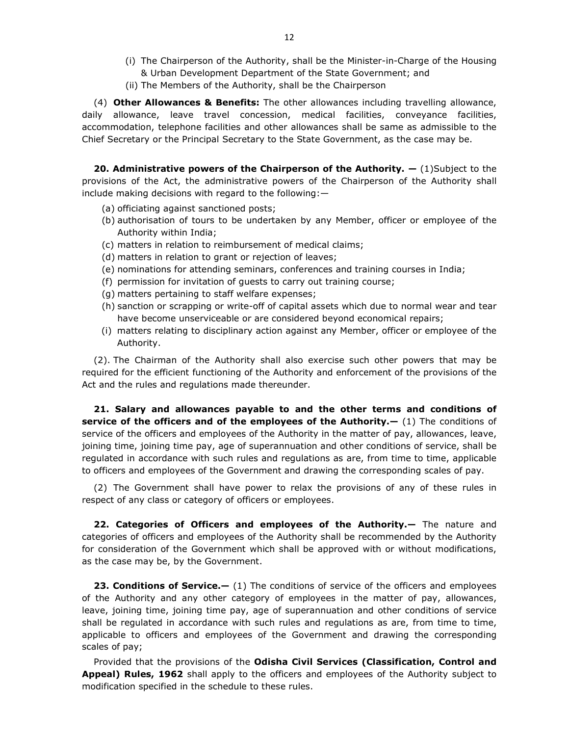- (i) The Chairperson of the Authority, shall be the Minister-in-Charge of the Housing & Urban Development Department of the State Government; and
- (ii) The Members of the Authority, shall be the Chairperson

(4) **Other Allowances & Benefits:** The other allowances including travelling allowance, daily allowance, leave travel concession, medical facilities, conveyance facilities, accommodation, telephone facilities and other allowances shall be same as admissible to the Chief Secretary or the Principal Secretary to the State Government, as the case may be.

**20. Administrative powers of the Chairperson of the Authority.**  $-$  (1)Subject to the provisions of the Act, the administrative powers of the Chairperson of the Authority shall include making decisions with regard to the following:—

- (a) officiating against sanctioned posts;
- (b) authorisation of tours to be undertaken by any Member, officer or employee of the Authority within India;
- (c) matters in relation to reimbursement of medical claims;
- (d) matters in relation to grant or rejection of leaves;
- (e) nominations for attending seminars, conferences and training courses in India;
- (f) permission for invitation of guests to carry out training course;
- (g) matters pertaining to staff welfare expenses;
- (h) sanction or scrapping or write-off of capital assets which due to normal wear and tear have become unserviceable or are considered beyond economical repairs;
- (i) matters relating to disciplinary action against any Member, officer or employee of the Authority.

(2). The Chairman of the Authority shall also exercise such other powers that may be required for the efficient functioning of the Authority and enforcement of the provisions of the Act and the rules and regulations made thereunder.

**21. Salary and allowances payable to and the other terms and conditions of service of the officers and of the employees of the Authority.—** (1) The conditions of service of the officers and employees of the Authority in the matter of pay, allowances, leave, joining time, joining time pay, age of superannuation and other conditions of service, shall be regulated in accordance with such rules and regulations as are, from time to time, applicable to officers and employees of the Government and drawing the corresponding scales of pay.

(2) The Government shall have power to relax the provisions of any of these rules in respect of any class or category of officers or employees.

**22. Categories of Officers and employees of the Authority.—** The nature and categories of officers and employees of the Authority shall be recommended by the Authority for consideration of the Government which shall be approved with or without modifications, as the case may be, by the Government.

**23. Conditions of Service.** (1) The conditions of service of the officers and employees of the Authority and any other category of employees in the matter of pay, allowances, leave, joining time, joining time pay, age of superannuation and other conditions of service shall be regulated in accordance with such rules and regulations as are, from time to time, applicable to officers and employees of the Government and drawing the corresponding scales of pay;

Provided that the provisions of the **Odisha Civil Services (Classification, Control and Appeal) Rules, 1962** shall apply to the officers and employees of the Authority subject to modification specified in the schedule to these rules.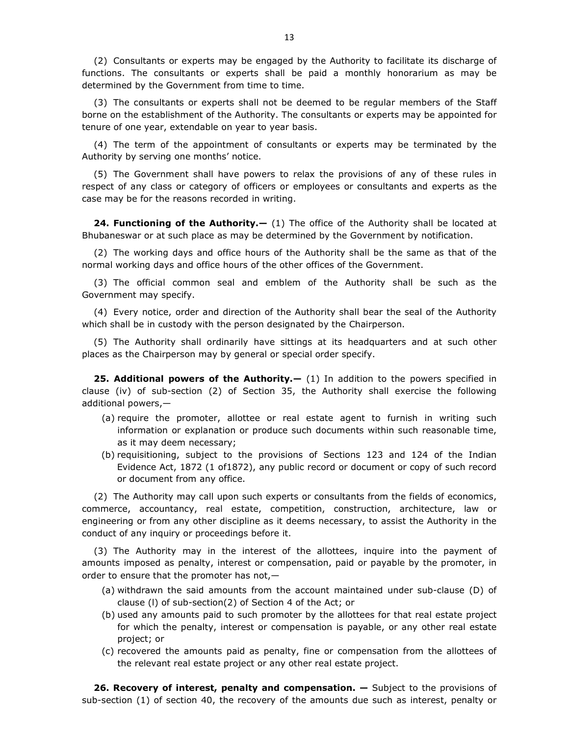(2) Consultants or experts may be engaged by the Authority to facilitate its discharge of functions. The consultants or experts shall be paid a monthly honorarium as may be determined by the Government from time to time.

(3) The consultants or experts shall not be deemed to be regular members of the Staff borne on the establishment of the Authority. The consultants or experts may be appointed for tenure of one year, extendable on year to year basis.

(4) The term of the appointment of consultants or experts may be terminated by the Authority by serving one months' notice.

(5) The Government shall have powers to relax the provisions of any of these rules in respect of any class or category of officers or employees or consultants and experts as the case may be for the reasons recorded in writing.

**24. Functioning of the Authority.**  $-$  (1) The office of the Authority shall be located at Bhubaneswar or at such place as may be determined by the Government by notification.

(2) The working days and office hours of the Authority shall be the same as that of the normal working days and office hours of the other offices of the Government.

(3) The official common seal and emblem of the Authority shall be such as the Government may specify.

(4) Every notice, order and direction of the Authority shall bear the seal of the Authority which shall be in custody with the person designated by the Chairperson.

(5) The Authority shall ordinarily have sittings at its headquarters and at such other places as the Chairperson may by general or special order specify.

**25. Additional powers of the Authority.—** (1) In addition to the powers specified in clause (iv) of sub-section (2) of Section 35, the Authority shall exercise the following additional powers,—

- (a) require the promoter, allottee or real estate agent to furnish in writing such information or explanation or produce such documents within such reasonable time, as it may deem necessary;
- (b) requisitioning, subject to the provisions of Sections 123 and 124 of the Indian Evidence Act, 1872 (1 of1872), any public record or document or copy of such record or document from any office.

(2) The Authority may call upon such experts or consultants from the fields of economics, commerce, accountancy, real estate, competition, construction, architecture, law or engineering or from any other discipline as it deems necessary, to assist the Authority in the conduct of any inquiry or proceedings before it.

(3) The Authority may in the interest of the allottees, inquire into the payment of amounts imposed as penalty, interest or compensation, paid or payable by the promoter, in order to ensure that the promoter has not,—

- (a) withdrawn the said amounts from the account maintained under sub-clause (D) of clause (l) of sub-section(2) of Section 4 of the Act; or
- (b) used any amounts paid to such promoter by the allottees for that real estate project for which the penalty, interest or compensation is payable, or any other real estate project; or
- (c) recovered the amounts paid as penalty, fine or compensation from the allottees of the relevant real estate project or any other real estate project.

**26. Recovery of interest, penalty and compensation.** — Subject to the provisions of sub-section (1) of section 40, the recovery of the amounts due such as interest, penalty or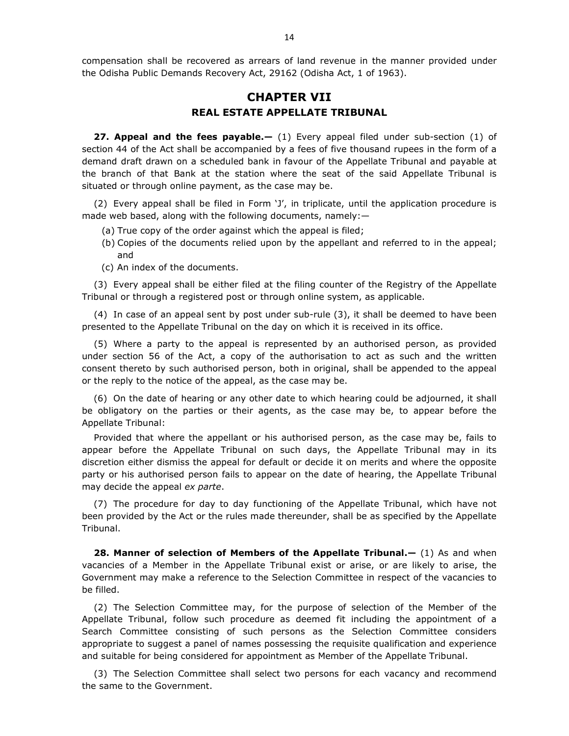compensation shall be recovered as arrears of land revenue in the manner provided under the Odisha Public Demands Recovery Act, 29162 (Odisha Act, 1 of 1963).

# **CHAPTER VII REAL ESTATE APPELLATE TRIBUNAL**

**27. Appeal and the fees payable.—** (1) Every appeal filed under sub-section (1) of section 44 of the Act shall be accompanied by a fees of five thousand rupees in the form of a demand draft drawn on a scheduled bank in favour of the Appellate Tribunal and payable at the branch of that Bank at the station where the seat of the said Appellate Tribunal is situated or through online payment, as the case may be.

(2) Every appeal shall be filed in Form 'J', in triplicate, until the application procedure is made web based, along with the following documents, namely:—

- (a) True copy of the order against which the appeal is filed;
- (b) Copies of the documents relied upon by the appellant and referred to in the appeal; and
- (c) An index of the documents.

(3) Every appeal shall be either filed at the filing counter of the Registry of the Appellate Tribunal or through a registered post or through online system, as applicable.

(4) In case of an appeal sent by post under sub-rule (3), it shall be deemed to have been presented to the Appellate Tribunal on the day on which it is received in its office.

(5) Where a party to the appeal is represented by an authorised person, as provided under section 56 of the Act, a copy of the authorisation to act as such and the written consent thereto by such authorised person, both in original, shall be appended to the appeal or the reply to the notice of the appeal, as the case may be.

(6) On the date of hearing or any other date to which hearing could be adjourned, it shall be obligatory on the parties or their agents, as the case may be, to appear before the Appellate Tribunal:

Provided that where the appellant or his authorised person, as the case may be, fails to appear before the Appellate Tribunal on such days, the Appellate Tribunal may in its discretion either dismiss the appeal for default or decide it on merits and where the opposite party or his authorised person fails to appear on the date of hearing, the Appellate Tribunal may decide the appeal *ex parte*.

(7) The procedure for day to day functioning of the Appellate Tribunal, which have not been provided by the Act or the rules made thereunder, shall be as specified by the Appellate Tribunal.

**28. Manner of selection of Members of the Appellate Tribunal.**  $-$  (1) As and when vacancies of a Member in the Appellate Tribunal exist or arise, or are likely to arise, the Government may make a reference to the Selection Committee in respect of the vacancies to be filled.

(2) The Selection Committee may, for the purpose of selection of the Member of the Appellate Tribunal, follow such procedure as deemed fit including the appointment of a Search Committee consisting of such persons as the Selection Committee considers appropriate to suggest a panel of names possessing the requisite qualification and experience and suitable for being considered for appointment as Member of the Appellate Tribunal.

(3) The Selection Committee shall select two persons for each vacancy and recommend the same to the Government.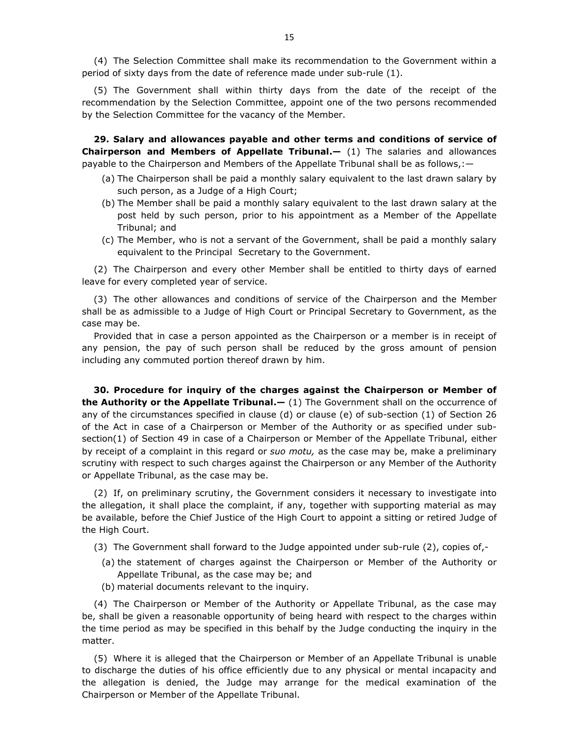(4) The Selection Committee shall make its recommendation to the Government within a period of sixty days from the date of reference made under sub-rule (1).

(5) The Government shall within thirty days from the date of the receipt of the recommendation by the Selection Committee, appoint one of the two persons recommended by the Selection Committee for the vacancy of the Member.

**29. Salary and allowances payable and other terms and conditions of service of Chairperson and Members of Appellate Tribunal.—** (1) The salaries and allowances payable to the Chairperson and Members of the Appellate Tribunal shall be as follows,:—

- (a) The Chairperson shall be paid a monthly salary equivalent to the last drawn salary by such person, as a Judge of a High Court;
- (b) The Member shall be paid a monthly salary equivalent to the last drawn salary at the post held by such person, prior to his appointment as a Member of the Appellate Tribunal; and
- (c) The Member, who is not a servant of the Government, shall be paid a monthly salary equivalent to the Principal Secretary to the Government.

(2) The Chairperson and every other Member shall be entitled to thirty days of earned leave for every completed year of service.

(3) The other allowances and conditions of service of the Chairperson and the Member shall be as admissible to a Judge of High Court or Principal Secretary to Government, as the case may be.

Provided that in case a person appointed as the Chairperson or a member is in receipt of any pension, the pay of such person shall be reduced by the gross amount of pension including any commuted portion thereof drawn by him.

**30. Procedure for inquiry of the charges against the Chairperson or Member of the Authority or the Appellate Tribunal.—** (1) The Government shall on the occurrence of any of the circumstances specified in clause (d) or clause (e) of sub-section (1) of Section 26 of the Act in case of a Chairperson or Member of the Authority or as specified under subsection(1) of Section 49 in case of a Chairperson or Member of the Appellate Tribunal, either by receipt of a complaint in this regard or *suo motu,* as the case may be, make a preliminary scrutiny with respect to such charges against the Chairperson or any Member of the Authority or Appellate Tribunal, as the case may be.

(2) If, on preliminary scrutiny, the Government considers it necessary to investigate into the allegation, it shall place the complaint, if any, together with supporting material as may be available, before the Chief Justice of the High Court to appoint a sitting or retired Judge of the High Court.

- (3) The Government shall forward to the Judge appointed under sub-rule (2), copies of,-
	- (a) the statement of charges against the Chairperson or Member of the Authority or Appellate Tribunal, as the case may be; and
	- (b) material documents relevant to the inquiry.

(4) The Chairperson or Member of the Authority or Appellate Tribunal, as the case may be, shall be given a reasonable opportunity of being heard with respect to the charges within the time period as may be specified in this behalf by the Judge conducting the inquiry in the matter.

(5) Where it is alleged that the Chairperson or Member of an Appellate Tribunal is unable to discharge the duties of his office efficiently due to any physical or mental incapacity and the allegation is denied, the Judge may arrange for the medical examination of the Chairperson or Member of the Appellate Tribunal.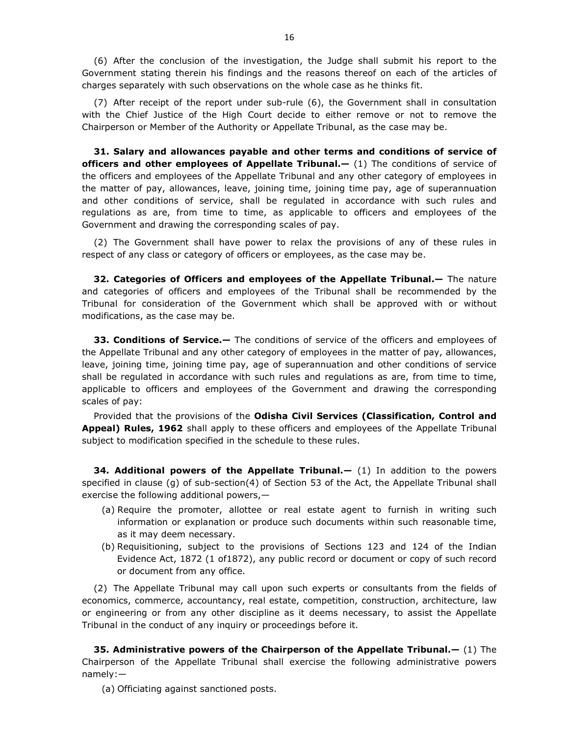(6) After the conclusion of the investigation, the Judge shall submit his report to the Government stating therein his findings and the reasons thereof on each of the articles of charges separately with such observations on the whole case as he thinks fit.

(7) After receipt of the report under sub-rule (6), the Government shall in consultation with the Chief Justice of the High Court decide to either remove or not to remove the Chairperson or Member of the Authority or Appellate Tribunal, as the case may be.

**31. Salary and allowances payable and other terms and conditions of service of officers and other employees of Appellate Tribunal.—** (1) The conditions of service of the officers and employees of the Appellate Tribunal and any other category of employees in the matter of pay, allowances, leave, joining time, joining time pay, age of superannuation and other conditions of service, shall be regulated in accordance with such rules and regulations as are, from time to time, as applicable to officers and employees of the Government and drawing the corresponding scales of pay.

(2) The Government shall have power to relax the provisions of any of these rules in respect of any class or category of officers or employees, as the case may be.

**32. Categories of Officers and employees of the Appellate Tribunal.—** The nature and categories of officers and employees of the Tribunal shall be recommended by the Tribunal for consideration of the Government which shall be approved with or without modifications, as the case may be.

**33. Conditions of Service.—** The conditions of service of the officers and employees of the Appellate Tribunal and any other category of employees in the matter of pay, allowances, leave, joining time, joining time pay, age of superannuation and other conditions of service shall be regulated in accordance with such rules and regulations as are, from time to time, applicable to officers and employees of the Government and drawing the corresponding scales of pay:

Provided that the provisions of the **Odisha Civil Services (Classification, Control and Appeal) Rules, 1962** shall apply to these officers and employees of the Appellate Tribunal subject to modification specified in the schedule to these rules.

**34. Additional powers of the Appellate Tribunal.—** (1) In addition to the powers specified in clause (g) of sub-section(4) of Section 53 of the Act, the Appellate Tribunal shall exercise the following additional powers,—

- (a) Require the promoter, allottee or real estate agent to furnish in writing such information or explanation or produce such documents within such reasonable time, as it may deem necessary.
- (b) Requisitioning, subject to the provisions of Sections 123 and 124 of the Indian Evidence Act, 1872 (1 of1872), any public record or document or copy of such record or document from any office.

(2) The Appellate Tribunal may call upon such experts or consultants from the fields of economics, commerce, accountancy, real estate, competition, construction, architecture, law or engineering or from any other discipline as it deems necessary, to assist the Appellate Tribunal in the conduct of any inquiry or proceedings before it.

**35. Administrative powers of the Chairperson of the Appellate Tribunal.—** (1) The Chairperson of the Appellate Tribunal shall exercise the following administrative powers namely:—

(a) Officiating against sanctioned posts.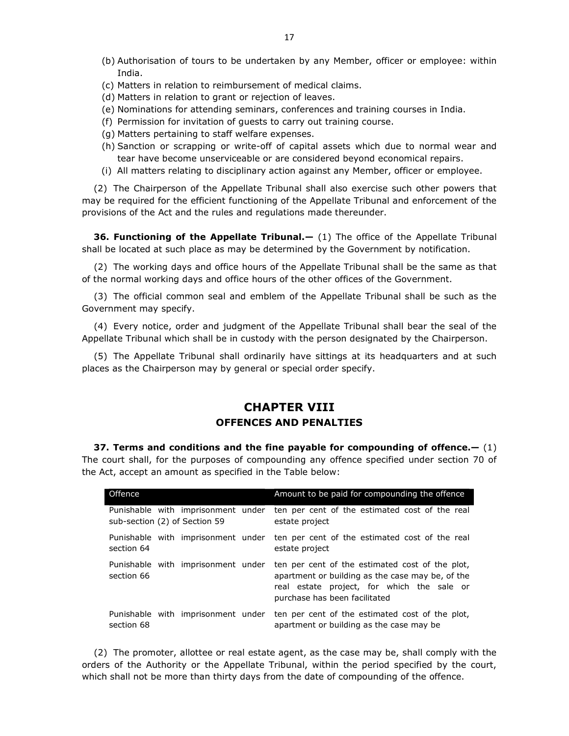- (b) Authorisation of tours to be undertaken by any Member, officer or employee: within India.
- (c) Matters in relation to reimbursement of medical claims.
- (d) Matters in relation to grant or rejection of leaves.
- (e) Nominations for attending seminars, conferences and training courses in India.
- (f) Permission for invitation of guests to carry out training course.
- (g) Matters pertaining to staff welfare expenses.
- (h) Sanction or scrapping or write-off of capital assets which due to normal wear and tear have become unserviceable or are considered beyond economical repairs.
- (i) All matters relating to disciplinary action against any Member, officer or employee.

(2) The Chairperson of the Appellate Tribunal shall also exercise such other powers that may be required for the efficient functioning of the Appellate Tribunal and enforcement of the provisions of the Act and the rules and regulations made thereunder.

**36. Functioning of the Appellate Tribunal.—** (1) The office of the Appellate Tribunal shall be located at such place as may be determined by the Government by notification.

(2) The working days and office hours of the Appellate Tribunal shall be the same as that of the normal working days and office hours of the other offices of the Government.

(3) The official common seal and emblem of the Appellate Tribunal shall be such as the Government may specify.

(4) Every notice, order and judgment of the Appellate Tribunal shall bear the seal of the Appellate Tribunal which shall be in custody with the person designated by the Chairperson.

(5) The Appellate Tribunal shall ordinarily have sittings at its headquarters and at such places as the Chairperson may by general or special order specify.

# **CHAPTER VIII OFFENCES AND PENALTIES**

**37. Terms and conditions and the fine payable for compounding of offence.—** (1) The court shall, for the purposes of compounding any offence specified under section 70 of the Act, accept an amount as specified in the Table below:

| Offence                                          | Amount to be paid for compounding the offence                                                                                                                                      |
|--------------------------------------------------|------------------------------------------------------------------------------------------------------------------------------------------------------------------------------------|
| Punishable with imprisonment under               | ten per cent of the estimated cost of the real                                                                                                                                     |
| sub-section (2) of Section 59                    | estate project                                                                                                                                                                     |
| Punishable with imprisonment under               | ten per cent of the estimated cost of the real                                                                                                                                     |
| section 64                                       | estate project                                                                                                                                                                     |
| Punishable with imprisonment under<br>section 66 | ten per cent of the estimated cost of the plot,<br>apartment or building as the case may be, of the<br>real estate project, for which the sale or<br>purchase has been facilitated |
| Punishable with imprisonment under               | ten per cent of the estimated cost of the plot,                                                                                                                                    |
| section 68                                       | apartment or building as the case may be                                                                                                                                           |

(2) The promoter, allottee or real estate agent, as the case may be, shall comply with the orders of the Authority or the Appellate Tribunal, within the period specified by the court, which shall not be more than thirty days from the date of compounding of the offence.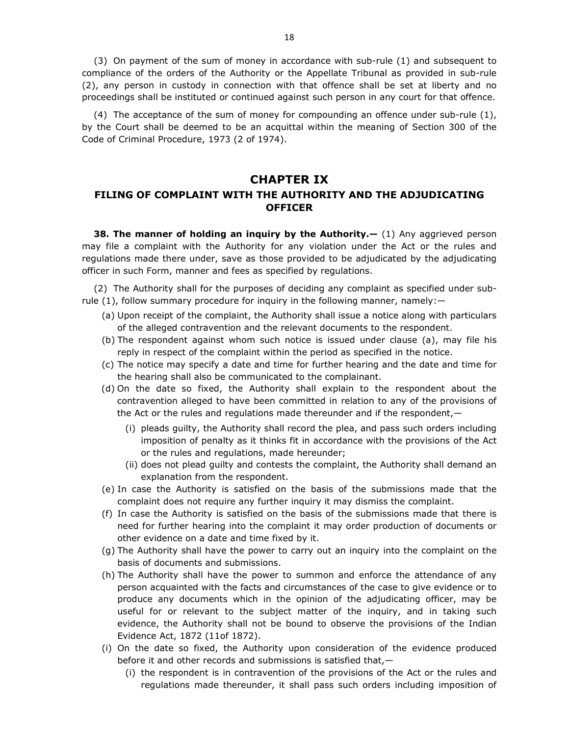(3) On payment of the sum of money in accordance with sub-rule (1) and subsequent to compliance of the orders of the Authority or the Appellate Tribunal as provided in sub-rule (2), any person in custody in connection with that offence shall be set at liberty and no proceedings shall be instituted or continued against such person in any court for that offence.

(4) The acceptance of the sum of money for compounding an offence under sub-rule (1), by the Court shall be deemed to be an acquittal within the meaning of Section 300 of the Code of Criminal Procedure, 1973 (2 of 1974).

#### **CHAPTER IX**

#### **FILING OF COMPLAINT WITH THE AUTHORITY AND THE ADJUDICATING OFFICER**

**38. The manner of holding an inquiry by the Authority.** (1) Any aggrieved person may file a complaint with the Authority for any violation under the Act or the rules and regulations made there under, save as those provided to be adjudicated by the adjudicating officer in such Form, manner and fees as specified by regulations.

(2) The Authority shall for the purposes of deciding any complaint as specified under subrule (1), follow summary procedure for inquiry in the following manner, namely:—

- (a) Upon receipt of the complaint, the Authority shall issue a notice along with particulars of the alleged contravention and the relevant documents to the respondent.
- (b) The respondent against whom such notice is issued under clause (a), may file his reply in respect of the complaint within the period as specified in the notice.
- (c) The notice may specify a date and time for further hearing and the date and time for the hearing shall also be communicated to the complainant.
- (d) On the date so fixed, the Authority shall explain to the respondent about the contravention alleged to have been committed in relation to any of the provisions of the Act or the rules and regulations made thereunder and if the respondent,—
	- (i) pleads guilty, the Authority shall record the plea, and pass such orders including imposition of penalty as it thinks fit in accordance with the provisions of the Act or the rules and regulations, made hereunder;
	- (ii) does not plead guilty and contests the complaint, the Authority shall demand an explanation from the respondent.
- (e) In case the Authority is satisfied on the basis of the submissions made that the complaint does not require any further inquiry it may dismiss the complaint.
- (f) In case the Authority is satisfied on the basis of the submissions made that there is need for further hearing into the complaint it may order production of documents or other evidence on a date and time fixed by it.
- (g) The Authority shall have the power to carry out an inquiry into the complaint on the basis of documents and submissions.
- (h) The Authority shall have the power to summon and enforce the attendance of any person acquainted with the facts and circumstances of the case to give evidence or to produce any documents which in the opinion of the adjudicating officer, may be useful for or relevant to the subject matter of the inquiry, and in taking such evidence, the Authority shall not be bound to observe the provisions of the Indian Evidence Act, 1872 (11of 1872).
- (i) On the date so fixed, the Authority upon consideration of the evidence produced before it and other records and submissions is satisfied that,—
	- (i) the respondent is in contravention of the provisions of the Act or the rules and regulations made thereunder, it shall pass such orders including imposition of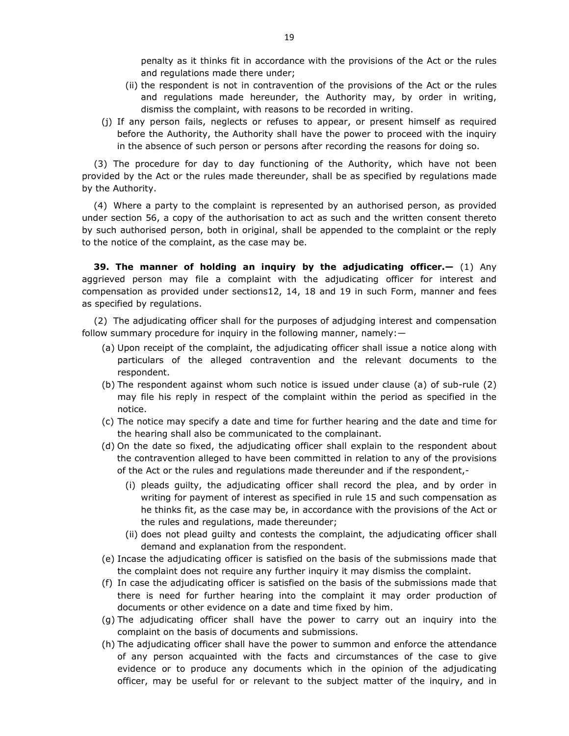penalty as it thinks fit in accordance with the provisions of the Act or the rules and regulations made there under;

- (ii) the respondent is not in contravention of the provisions of the Act or the rules and regulations made hereunder, the Authority may, by order in writing, dismiss the complaint, with reasons to be recorded in writing.
- (j) If any person fails, neglects or refuses to appear, or present himself as required before the Authority, the Authority shall have the power to proceed with the inquiry in the absence of such person or persons after recording the reasons for doing so.

(3) The procedure for day to day functioning of the Authority, which have not been provided by the Act or the rules made thereunder, shall be as specified by regulations made by the Authority.

(4) Where a party to the complaint is represented by an authorised person, as provided under section 56, a copy of the authorisation to act as such and the written consent thereto by such authorised person, both in original, shall be appended to the complaint or the reply to the notice of the complaint, as the case may be.

**39. The manner of holding an inquiry by the adjudicating officer.—** (1) Any aggrieved person may file a complaint with the adjudicating officer for interest and compensation as provided under sections12, 14, 18 and 19 in such Form, manner and fees as specified by regulations.

(2) The adjudicating officer shall for the purposes of adjudging interest and compensation follow summary procedure for inquiry in the following manner, namely:—

- (a) Upon receipt of the complaint, the adjudicating officer shall issue a notice along with particulars of the alleged contravention and the relevant documents to the respondent.
- (b) The respondent against whom such notice is issued under clause (a) of sub-rule (2) may file his reply in respect of the complaint within the period as specified in the notice.
- (c) The notice may specify a date and time for further hearing and the date and time for the hearing shall also be communicated to the complainant.
- (d) On the date so fixed, the adjudicating officer shall explain to the respondent about the contravention alleged to have been committed in relation to any of the provisions of the Act or the rules and regulations made thereunder and if the respondent,-
	- (i) pleads guilty, the adjudicating officer shall record the plea, and by order in writing for payment of interest as specified in rule 15 and such compensation as he thinks fit, as the case may be, in accordance with the provisions of the Act or the rules and regulations, made thereunder;
	- (ii) does not plead guilty and contests the complaint, the adjudicating officer shall demand and explanation from the respondent.
- (e) Incase the adjudicating officer is satisfied on the basis of the submissions made that the complaint does not require any further inquiry it may dismiss the complaint.
- (f) In case the adjudicating officer is satisfied on the basis of the submissions made that there is need for further hearing into the complaint it may order production of documents or other evidence on a date and time fixed by him.
- (g) The adjudicating officer shall have the power to carry out an inquiry into the complaint on the basis of documents and submissions.
- (h) The adjudicating officer shall have the power to summon and enforce the attendance of any person acquainted with the facts and circumstances of the case to give evidence or to produce any documents which in the opinion of the adjudicating officer, may be useful for or relevant to the subject matter of the inquiry, and in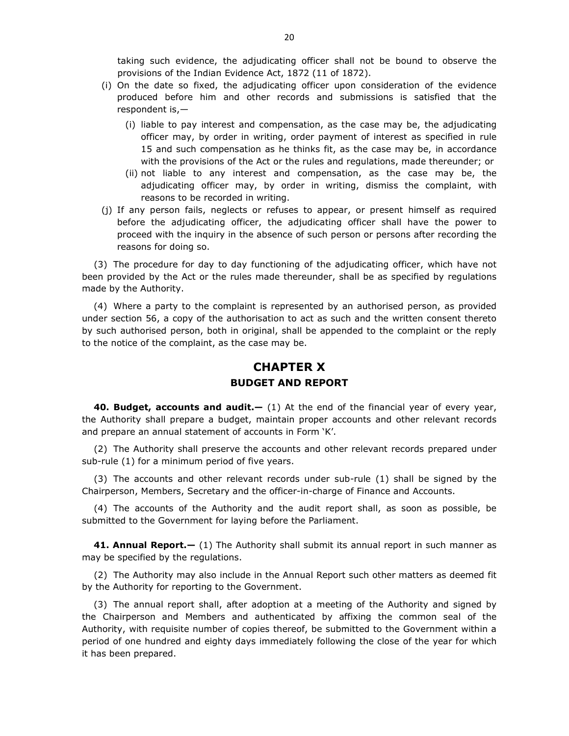taking such evidence, the adjudicating officer shall not be bound to observe the provisions of the Indian Evidence Act, 1872 (11 of 1872).

- (i) On the date so fixed, the adjudicating officer upon consideration of the evidence produced before him and other records and submissions is satisfied that the respondent is,—
	- (i) liable to pay interest and compensation, as the case may be, the adjudicating officer may, by order in writing, order payment of interest as specified in rule 15 and such compensation as he thinks fit, as the case may be, in accordance with the provisions of the Act or the rules and regulations, made thereunder; or
	- (ii) not liable to any interest and compensation, as the case may be, the adjudicating officer may, by order in writing, dismiss the complaint, with reasons to be recorded in writing.
- (j) If any person fails, neglects or refuses to appear, or present himself as required before the adjudicating officer, the adjudicating officer shall have the power to proceed with the inquiry in the absence of such person or persons after recording the reasons for doing so.

(3) The procedure for day to day functioning of the adjudicating officer, which have not been provided by the Act or the rules made thereunder, shall be as specified by regulations made by the Authority.

(4) Where a party to the complaint is represented by an authorised person, as provided under section 56, a copy of the authorisation to act as such and the written consent thereto by such authorised person, both in original, shall be appended to the complaint or the reply to the notice of the complaint, as the case may be.

# **CHAPTER X BUDGET AND REPORT**

**40. Budget, accounts and audit.—** (1) At the end of the financial year of every year, the Authority shall prepare a budget, maintain proper accounts and other relevant records and prepare an annual statement of accounts in Form 'K'.

(2) The Authority shall preserve the accounts and other relevant records prepared under sub-rule (1) for a minimum period of five years.

(3) The accounts and other relevant records under sub-rule (1) shall be signed by the Chairperson, Members, Secretary and the officer-in-charge of Finance and Accounts.

(4) The accounts of the Authority and the audit report shall, as soon as possible, be submitted to the Government for laying before the Parliament.

**41. Annual Report.—** (1) The Authority shall submit its annual report in such manner as may be specified by the regulations.

(2) The Authority may also include in the Annual Report such other matters as deemed fit by the Authority for reporting to the Government.

(3) The annual report shall, after adoption at a meeting of the Authority and signed by the Chairperson and Members and authenticated by affixing the common seal of the Authority, with requisite number of copies thereof, be submitted to the Government within a period of one hundred and eighty days immediately following the close of the year for which it has been prepared.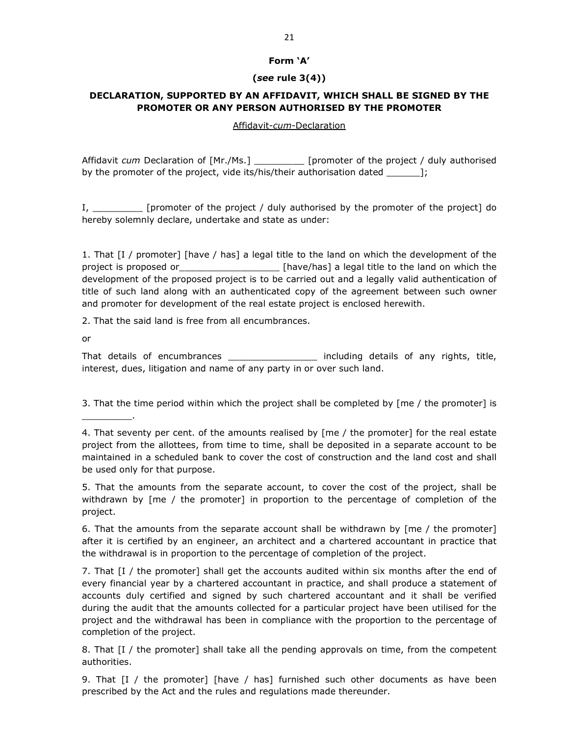#### **Form 'A'**

#### **(***see* **rule 3(4))**

### **DECLARATION, SUPPORTED BY AN AFFIDAVIT, WHICH SHALL BE SIGNED BY THE PROMOTER OR ANY PERSON AUTHORISED BY THE PROMOTER**

#### Affidavit-*cum*-Declaration

Affidavit *cum* Declaration of [Mr./Ms.] \_\_\_\_\_\_\_\_\_ [promoter of the project / duly authorised by the promoter of the project, vide its/his/their authorisation dated \_\_\_\_\_\_];

I, \_\_\_\_\_\_\_\_\_ [promoter of the project / duly authorised by the promoter of the project] do hereby solemnly declare, undertake and state as under:

1. That [I / promoter] [have / has] a legal title to the land on which the development of the project is proposed or\_\_\_\_\_\_\_\_\_\_\_\_\_\_\_\_\_\_\_\_\_\_\_\_ [have/has] a legal title to the land on which the development of the proposed project is to be carried out and a legally valid authentication of title of such land along with an authenticated copy of the agreement between such owner and promoter for development of the real estate project is enclosed herewith.

2. That the said land is free from all encumbrances.

or

 $\overline{\phantom{a}}$  .

That details of encumbrances \_\_\_\_\_\_\_\_\_\_\_\_\_\_\_\_\_\_ including details of any rights, title, interest, dues, litigation and name of any party in or over such land.

3. That the time period within which the project shall be completed by [me / the promoter] is

5. That the amounts from the separate account, to cover the cost of the project, shall be withdrawn by [me / the promoter] in proportion to the percentage of completion of the project.

6. That the amounts from the separate account shall be withdrawn by [me / the promoter] after it is certified by an engineer, an architect and a chartered accountant in practice that the withdrawal is in proportion to the percentage of completion of the project.

7. That [I / the promoter] shall get the accounts audited within six months after the end of every financial year by a chartered accountant in practice, and shall produce a statement of accounts duly certified and signed by such chartered accountant and it shall be verified during the audit that the amounts collected for a particular project have been utilised for the project and the withdrawal has been in compliance with the proportion to the percentage of completion of the project.

8. That [I / the promoter] shall take all the pending approvals on time, from the competent authorities.

9. That [I / the promoter] [have / has] furnished such other documents as have been prescribed by the Act and the rules and regulations made thereunder.

<sup>4.</sup> That seventy per cent. of the amounts realised by [me / the promoter] for the real estate project from the allottees, from time to time, shall be deposited in a separate account to be maintained in a scheduled bank to cover the cost of construction and the land cost and shall be used only for that purpose.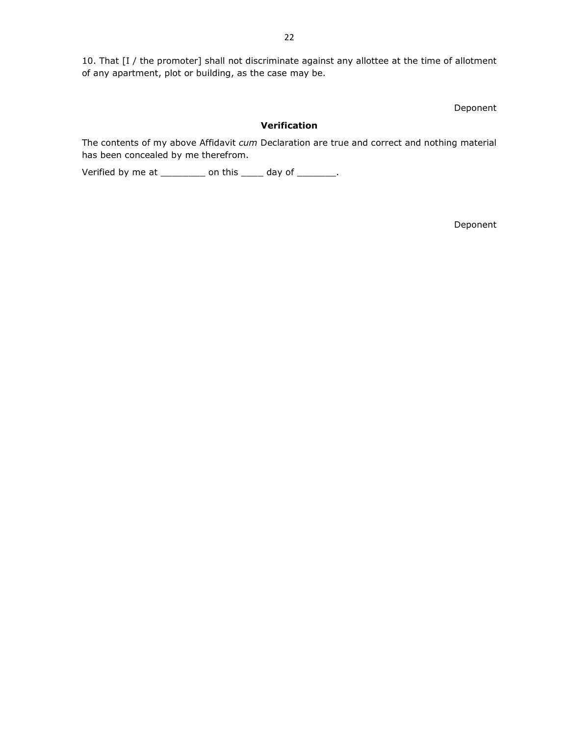10. That [I / the promoter] shall not discriminate against any allottee at the time of allotment of any apartment, plot or building, as the case may be.

Deponent

#### **Verification**

The contents of my above Affidavit *cum* Declaration are true and correct and nothing material has been concealed by me therefrom.

Verified by me at \_\_\_\_\_\_\_\_\_ on this \_\_\_\_\_ day of \_\_\_\_\_\_\_\_.

Deponent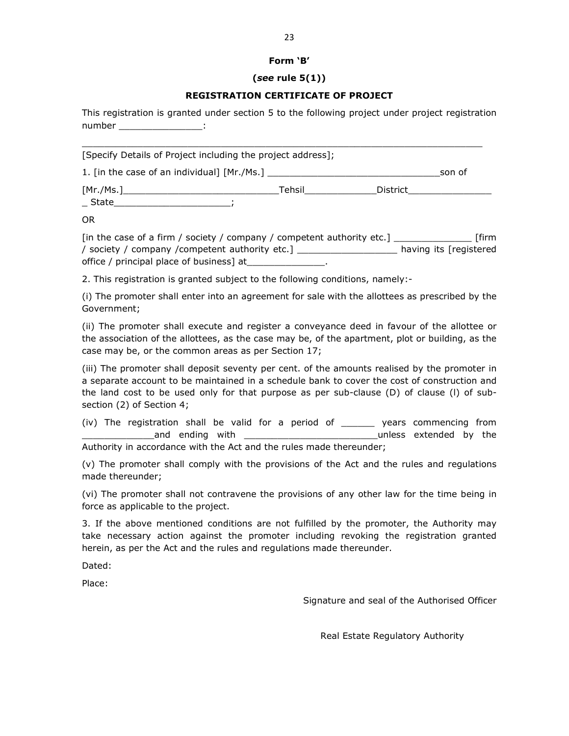#### **Form 'B'**

#### **(***see* **rule 5(1))**

#### **REGISTRATION CERTIFICATE OF PROJECT**

This registration is granted under section 5 to the following project under project registration number \_\_\_\_\_\_\_\_\_\_\_\_\_\_\_\_\_\_:

| [Specify Details of Project including the project address]; |        |          |        |
|-------------------------------------------------------------|--------|----------|--------|
|                                                             |        |          | son of |
| State                                                       | Tehsil | District |        |
| $\sim$ $\sim$                                               |        |          |        |

OR

| [in the case of a firm / society / company / competent authority etc.] | <b>firm</b>            |
|------------------------------------------------------------------------|------------------------|
| / society / company / competent authority etc.]                        | having its [registered |
| office / principal place of business] at                               |                        |

2. This registration is granted subject to the following conditions, namely:-

(i) The promoter shall enter into an agreement for sale with the allottees as prescribed by the Government;

(ii) The promoter shall execute and register a conveyance deed in favour of the allottee or the association of the allottees, as the case may be, of the apartment, plot or building, as the case may be, or the common areas as per Section 17;

(iii) The promoter shall deposit seventy per cent. of the amounts realised by the promoter in a separate account to be maintained in a schedule bank to cover the cost of construction and the land cost to be used only for that purpose as per sub-clause (D) of clause (l) of subsection (2) of Section 4;

(iv) The registration shall be valid for a period of \_\_\_\_\_\_ years commencing from and ending with **extended** by the Authority in accordance with the Act and the rules made thereunder;

(v) The promoter shall comply with the provisions of the Act and the rules and regulations made thereunder;

(vi) The promoter shall not contravene the provisions of any other law for the time being in force as applicable to the project.

3. If the above mentioned conditions are not fulfilled by the promoter, the Authority may take necessary action against the promoter including revoking the registration granted herein, as per the Act and the rules and regulations made thereunder.

Dated:

Place:

Signature and seal of the Authorised Officer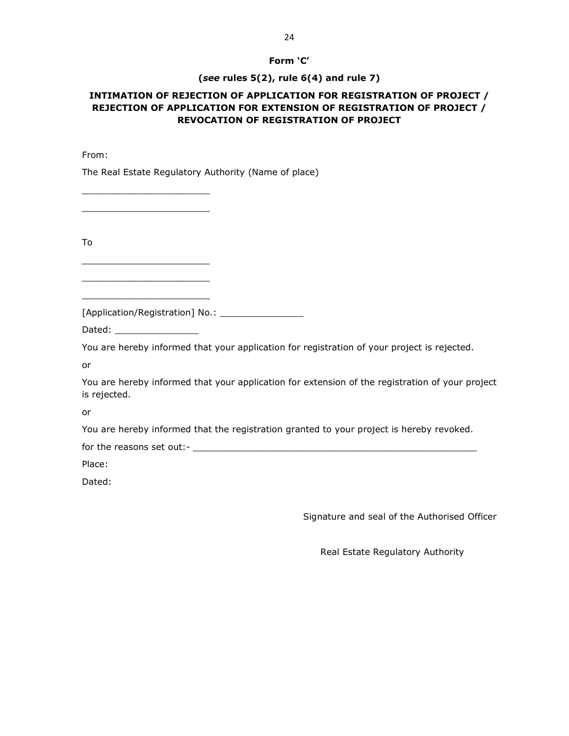#### **Form 'C'**

#### **(***see* **rules 5(2), rule 6(4) and rule 7)**

## **INTIMATION OF REJECTION OF APPLICATION FOR REGISTRATION OF PROJECT / REJECTION OF APPLICATION FOR EXTENSION OF REGISTRATION OF PROJECT / REVOCATION OF REGISTRATION OF PROJECT**

From:

The Real Estate Regulatory Authority (Name of place)

\_\_\_\_\_\_\_\_\_\_\_\_\_\_\_\_\_\_\_\_\_\_\_ \_\_\_\_\_\_\_\_\_\_\_\_\_\_\_\_\_\_\_\_\_\_\_

\_\_\_\_\_\_\_\_\_\_\_\_\_\_\_\_\_\_\_\_\_\_\_ \_\_\_\_\_\_\_\_\_\_\_\_\_\_\_\_\_\_\_\_\_\_\_ \_\_\_\_\_\_\_\_\_\_\_\_\_\_\_\_\_\_\_\_\_\_\_

To

[Application/Registration] No.: \_\_\_\_\_\_\_\_\_\_\_\_\_\_\_

Dated:

You are hereby informed that your application for registration of your project is rejected.

or

You are hereby informed that your application for extension of the registration of your project is rejected.

or

You are hereby informed that the registration granted to your project is hereby revoked.

for the reasons set out:- \_\_\_\_\_\_\_\_\_\_\_\_\_\_\_\_\_\_\_\_\_\_\_\_\_\_\_\_\_\_\_\_\_\_\_\_\_\_\_\_\_\_\_\_\_\_\_\_\_\_\_

Place:

Dated:

Signature and seal of the Authorised Officer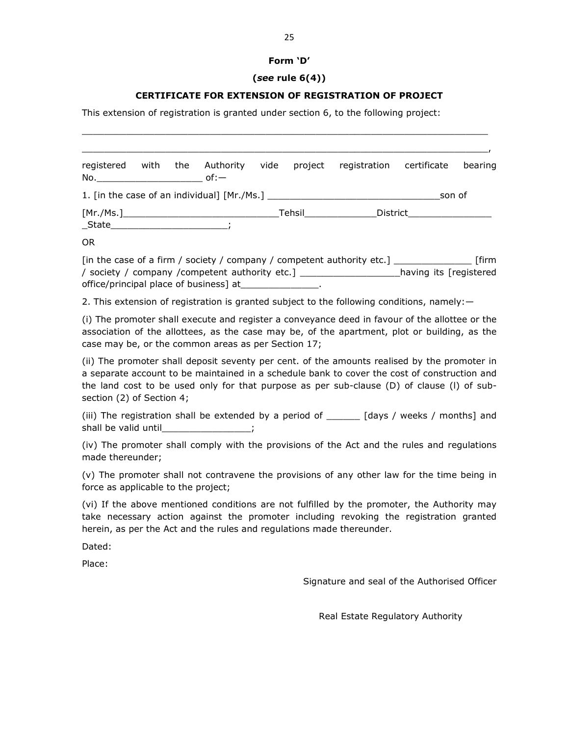#### **Form 'D'**

#### **(***see* **rule 6(4))**

#### **CERTIFICATE FOR EXTENSION OF REGISTRATION OF PROJECT**

\_\_\_\_\_\_\_\_\_\_\_\_\_\_\_\_\_\_\_\_\_\_\_\_\_\_\_\_\_\_\_\_\_\_\_\_\_\_\_\_\_\_\_\_\_\_\_\_\_\_\_\_\_\_\_\_\_\_\_\_\_\_\_\_\_\_\_\_\_\_\_\_\_

This extension of registration is granted under section 6, to the following project:

\_\_\_\_\_\_\_\_\_\_\_\_\_\_\_\_\_\_\_\_\_\_\_\_\_\_\_\_\_\_\_\_\_\_\_\_\_\_\_\_\_\_\_\_\_\_\_\_\_\_\_\_\_\_\_\_\_\_\_\_\_\_\_\_\_\_\_\_\_\_\_\_\_, registered with the Authority vide project registration certificate bearing  $No.$  of: $-$ 1. [in the case of an individual] [Mr./Ms.] example the same of son of [Mr./Ms.] Tehsil District  $\_State$  ; OR

[in the case of a firm / society / company / competent authority etc.] \_\_\_\_\_\_\_\_\_\_\_\_\_\_ [firm / society / company /competent authority etc.] \_\_\_\_\_\_\_\_\_\_\_\_\_\_\_\_\_\_having its [registered office/principal place of business] at\_\_\_\_\_\_\_\_\_\_\_\_\_\_.

2. This extension of registration is granted subject to the following conditions, namely:—

(i) The promoter shall execute and register a conveyance deed in favour of the allottee or the association of the allottees, as the case may be, of the apartment, plot or building, as the case may be, or the common areas as per Section 17;

(ii) The promoter shall deposit seventy per cent. of the amounts realised by the promoter in a separate account to be maintained in a schedule bank to cover the cost of construction and the land cost to be used only for that purpose as per sub-clause (D) of clause (l) of subsection (2) of Section 4;

(iii) The registration shall be extended by a period of \_\_\_\_\_\_ [days / weeks / months] and shall be valid until\_\_\_\_\_\_\_\_\_\_\_\_\_\_\_\_;

(iv) The promoter shall comply with the provisions of the Act and the rules and regulations made thereunder;

(v) The promoter shall not contravene the provisions of any other law for the time being in force as applicable to the project;

(vi) If the above mentioned conditions are not fulfilled by the promoter, the Authority may take necessary action against the promoter including revoking the registration granted herein, as per the Act and the rules and regulations made thereunder.

Dated:

Place:

Signature and seal of the Authorised Officer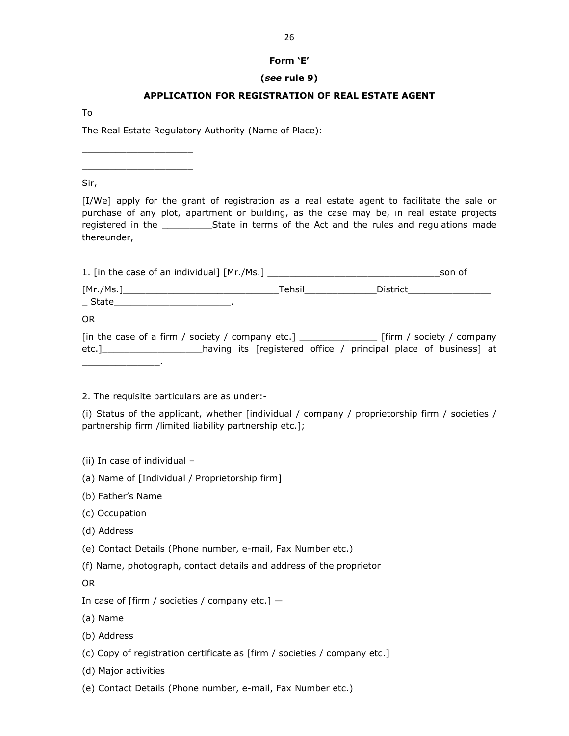#### **Form 'E'**

#### **(***see* **rule 9)**

#### **APPLICATION FOR REGISTRATION OF REAL ESTATE AGENT**

To

The Real Estate Regulatory Authority (Name of Place):

Sir,

\_\_\_\_\_\_\_\_\_\_\_\_\_\_\_\_\_\_\_\_ \_\_\_\_\_\_\_\_\_\_\_\_\_\_\_\_\_\_\_\_

[I/We] apply for the grant of registration as a real estate agent to facilitate the sale or purchase of any plot, apartment or building, as the case may be, in real estate projects registered in the \_\_\_\_\_\_\_\_\_\_\_\_\_State in terms of the Act and the rules and regulations made thereunder,

|       |                    | son of                                                                                                         |
|-------|--------------------|----------------------------------------------------------------------------------------------------------------|
| State | Tehsil____________ | _District___________________                                                                                   |
| 0R    |                    |                                                                                                                |
|       |                    | [in the case of a firm / society / company etc.] [10] [12] [12] [13] [13] [13] [13] [14] [15] [16] [15] [16] [ |
|       |                    | etc.]_____________________having its [registered office / principal place of business] at                      |

2. The requisite particulars are as under:-

(i) Status of the applicant, whether [individual / company / proprietorship firm / societies / partnership firm /limited liability partnership etc.];

- (ii) In case of individual –
- (a) Name of [Individual / Proprietorship firm]
- (b) Father's Name

 $\_$   $\_$ 

- (c) Occupation
- (d) Address
- (e) Contact Details (Phone number, e-mail, Fax Number etc.)
- (f) Name, photograph, contact details and address of the proprietor

OR

- (a) Name
- (b) Address
- (c) Copy of registration certificate as [firm / societies / company etc.]
- (d) Major activities
- (e) Contact Details (Phone number, e-mail, Fax Number etc.)

In case of [firm / societies / company etc.]  $-$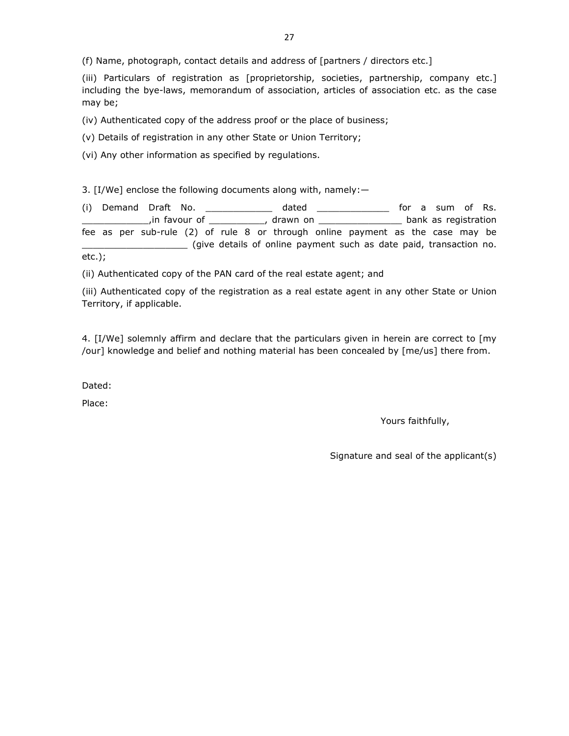(iii) Particulars of registration as [proprietorship, societies, partnership, company etc.] including the bye-laws, memorandum of association, articles of association etc. as the case may be;

(iv) Authenticated copy of the address proof or the place of business;

(v) Details of registration in any other State or Union Territory;

(vi) Any other information as specified by regulations.

3. [I/We] enclose the following documents along with, namely:—

(i) Demand Draft No. \_\_\_\_\_\_\_\_\_\_\_\_ dated \_\_\_\_\_\_\_\_\_\_\_\_\_ for a sum of Rs. \_\_\_\_\_\_\_\_\_\_\_\_,in favour of \_\_\_\_\_\_\_\_\_\_, drawn on \_\_\_\_\_\_\_\_\_\_\_\_\_\_\_ bank as registration fee as per sub-rule (2) of rule 8 or through online payment as the case may be \_\_\_\_\_\_\_\_\_\_\_\_\_\_\_\_\_\_\_ (give details of online payment such as date paid, transaction no. etc.);

(ii) Authenticated copy of the PAN card of the real estate agent; and

(iii) Authenticated copy of the registration as a real estate agent in any other State or Union Territory, if applicable.

4. [I/We] solemnly affirm and declare that the particulars given in herein are correct to [my /our] knowledge and belief and nothing material has been concealed by [me/us] there from.

Dated:

Place:

Yours faithfully,

Signature and seal of the applicant(s)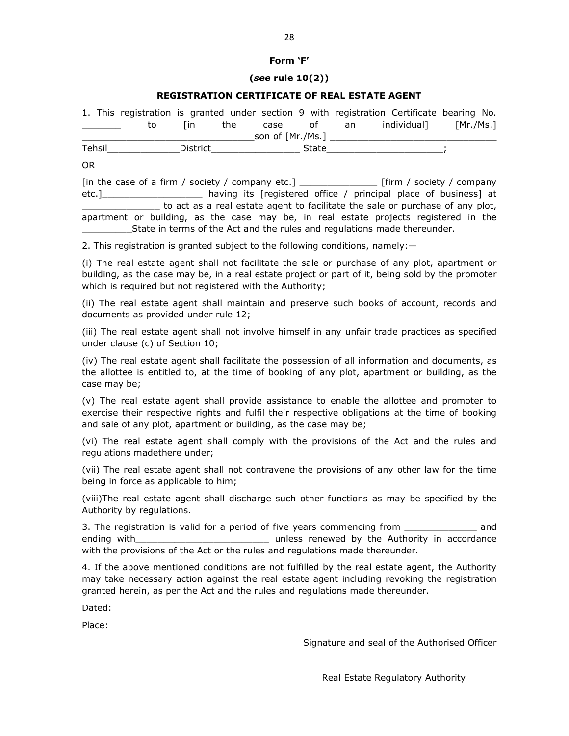#### **Form 'F'**

#### **(***see* **rule 10(2))**

#### **REGISTRATION CERTIFICATE OF REAL ESTATE AGENT**

|                                   |    |      | 1. This registration is granted under section 9 with registration Certificate bearing No. |                  |       |       |              |           |  |
|-----------------------------------|----|------|-------------------------------------------------------------------------------------------|------------------|-------|-------|--------------|-----------|--|
| and the control of the control of | to | l in | the                                                                                       | case             |       | of an | individual 1 | [Mr./Ms.] |  |
|                                   |    |      |                                                                                           | son of [Mr./Ms.] |       |       |              |           |  |
| Tehsil                            |    |      | District                                                                                  |                  | State |       |              |           |  |

OR

[in the case of a firm / society / company etc.] \_\_\_\_\_\_\_\_\_\_\_\_\_\_ [firm / society / company etc.]\_\_\_\_\_\_\_\_\_\_\_\_\_\_\_\_\_\_ having its [registered office / principal place of business] at to act as a real estate agent to facilitate the sale or purchase of any plot, apartment or building, as the case may be, in real estate projects registered in the \_\_\_\_\_\_\_\_\_State in terms of the Act and the rules and regulations made thereunder.

2. This registration is granted subject to the following conditions, namely:—

(i) The real estate agent shall not facilitate the sale or purchase of any plot, apartment or building, as the case may be, in a real estate project or part of it, being sold by the promoter which is required but not registered with the Authority;

(ii) The real estate agent shall maintain and preserve such books of account, records and documents as provided under rule 12;

(iii) The real estate agent shall not involve himself in any unfair trade practices as specified under clause (c) of Section 10;

(iv) The real estate agent shall facilitate the possession of all information and documents, as the allottee is entitled to, at the time of booking of any plot, apartment or building, as the case may be;

(v) The real estate agent shall provide assistance to enable the allottee and promoter to exercise their respective rights and fulfil their respective obligations at the time of booking and sale of any plot, apartment or building, as the case may be;

(vi) The real estate agent shall comply with the provisions of the Act and the rules and regulations madethere under;

(vii) The real estate agent shall not contravene the provisions of any other law for the time being in force as applicable to him;

(viii)The real estate agent shall discharge such other functions as may be specified by the Authority by regulations.

3. The registration is valid for a period of five years commencing from \_\_\_\_\_\_\_\_\_\_\_\_\_\_ and ending with **EXALL CONDUCTS** and the Unless renewed by the Authority in accordance with the provisions of the Act or the rules and regulations made thereunder.

4. If the above mentioned conditions are not fulfilled by the real estate agent, the Authority may take necessary action against the real estate agent including revoking the registration granted herein, as per the Act and the rules and regulations made thereunder.

Dated:

Place:

Signature and seal of the Authorised Officer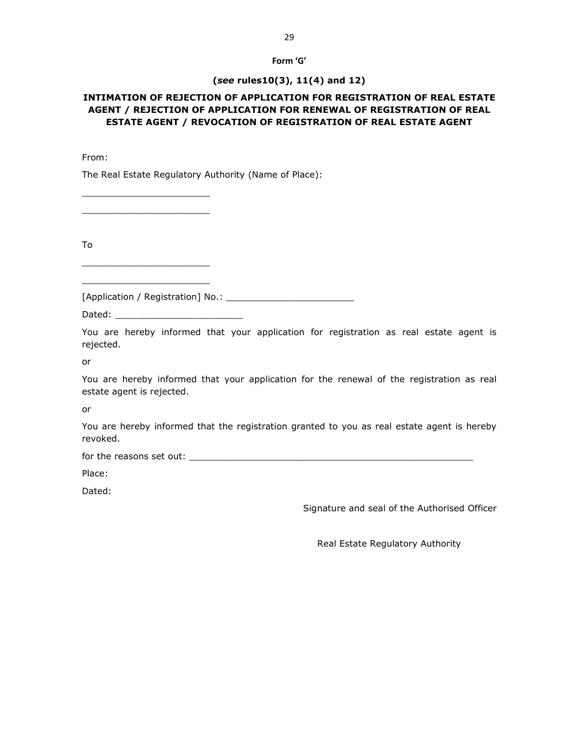# **Form 'G'**

#### **(***see* **rules10(3), 11(4) and 12)**

### **INTIMATION OF REJECTION OF APPLICATION FOR REGISTRATION OF REAL ESTATE AGENT / REJECTION OF APPLICATION FOR RENEWAL OF REGISTRATION OF REAL ESTATE AGENT / REVOCATION OF REGISTRATION OF REAL ESTATE AGENT**

From:

The Real Estate Regulatory Authority (Name of Place):

\_\_\_\_\_\_\_\_\_\_\_\_\_\_\_\_\_\_\_\_\_\_\_ \_\_\_\_\_\_\_\_\_\_\_\_\_\_\_\_\_\_\_\_\_\_\_

\_\_\_\_\_\_\_\_\_\_\_\_\_\_\_\_\_\_\_\_\_\_\_ \_\_\_\_\_\_\_\_\_\_\_\_\_\_\_\_\_\_\_\_\_\_\_

To

[Application / Registration] No.: \_\_\_\_\_\_\_\_\_\_\_\_\_\_\_\_\_\_\_\_\_\_\_

Dated: \_\_\_\_\_\_\_\_\_\_\_\_\_\_\_\_\_\_\_\_\_\_\_

You are hereby informed that your application for registration as real estate agent is rejected.

or

You are hereby informed that your application for the renewal of the registration as real estate agent is rejected.

or

You are hereby informed that the registration granted to you as real estate agent is hereby revoked.

for the reasons set out: \_\_\_\_\_\_\_\_\_\_\_\_\_\_\_\_\_\_\_\_\_\_\_\_\_\_\_\_\_\_\_\_\_\_\_\_\_\_\_\_\_\_\_\_\_\_\_\_\_\_\_

Place:

Dated:

Signature and seal of the Authorised Officer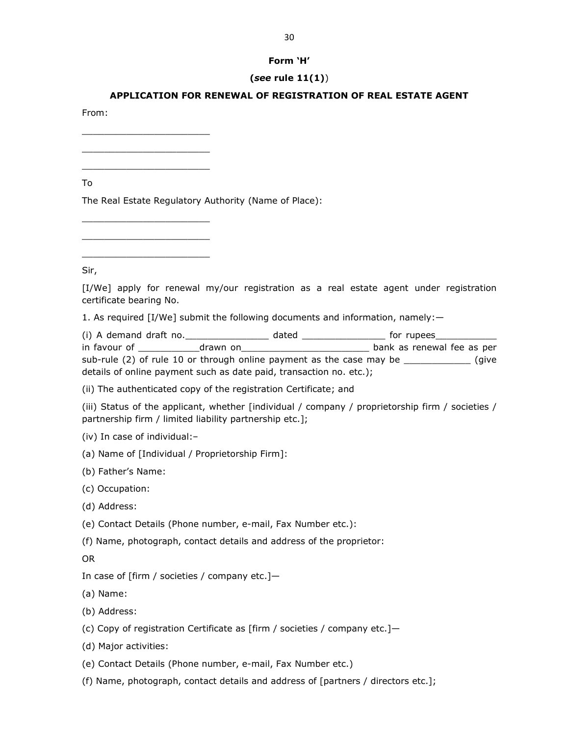#### **Form 'H'**

#### **(***see* **rule 11(1)**)

#### **APPLICATION FOR RENEWAL OF REGISTRATION OF REAL ESTATE AGENT**

From:

\_\_\_\_\_\_\_\_\_\_\_\_\_\_\_\_\_\_\_\_\_\_\_ \_\_\_\_\_\_\_\_\_\_\_\_\_\_\_\_\_\_\_\_\_\_\_ \_\_\_\_\_\_\_\_\_\_\_\_\_\_\_\_\_\_\_\_\_\_\_

\_\_\_\_\_\_\_\_\_\_\_\_\_\_\_\_\_\_\_\_\_\_\_ \_\_\_\_\_\_\_\_\_\_\_\_\_\_\_\_\_\_\_\_\_\_\_ \_\_\_\_\_\_\_\_\_\_\_\_\_\_\_\_\_\_\_\_\_\_\_

To

The Real Estate Regulatory Authority (Name of Place):

Sir,

[I/We] apply for renewal my/our registration as a real estate agent under registration certificate bearing No.

1. As required [I/We] submit the following documents and information, namely:—

(i) A demand draft no.\_\_\_\_\_\_\_\_\_\_\_\_\_\_\_ dated \_\_\_\_\_\_\_\_\_\_\_\_\_\_\_ for rupees\_\_\_\_\_\_\_\_\_\_\_ in favour of \_\_\_\_\_\_\_\_\_\_\_drawn on\_\_\_\_\_\_\_\_\_\_\_\_\_\_\_\_\_\_\_\_\_\_\_ bank as renewal fee as per sub-rule (2) of rule 10 or through online payment as the case may be \_\_\_\_\_\_\_\_\_\_\_\_ (give details of online payment such as date paid, transaction no. etc.);

(ii) The authenticated copy of the registration Certificate; and

(iii) Status of the applicant, whether [individual / company / proprietorship firm / societies / partnership firm / limited liability partnership etc.];

(iv) In case of individual:–

(a) Name of [Individual / Proprietorship Firm]:

(b) Father's Name:

(c) Occupation:

(d) Address:

(e) Contact Details (Phone number, e-mail, Fax Number etc.):

(f) Name, photograph, contact details and address of the proprietor:

OR

In case of [firm / societies / company etc.]—

(a) Name:

(b) Address:

(c) Copy of registration Certificate as [firm / societies / company etc.]—

(d) Major activities:

(e) Contact Details (Phone number, e-mail, Fax Number etc.)

(f) Name, photograph, contact details and address of [partners / directors etc.];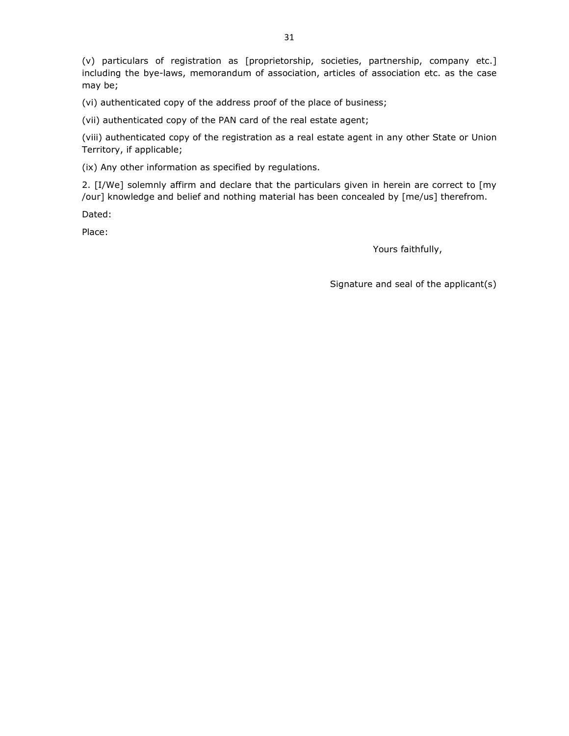(v) particulars of registration as [proprietorship, societies, partnership, company etc.] including the bye-laws, memorandum of association, articles of association etc. as the case may be;

(vi) authenticated copy of the address proof of the place of business;

(vii) authenticated copy of the PAN card of the real estate agent;

(viii) authenticated copy of the registration as a real estate agent in any other State or Union Territory, if applicable;

(ix) Any other information as specified by regulations.

2. [I/We] solemnly affirm and declare that the particulars given in herein are correct to [my /our] knowledge and belief and nothing material has been concealed by [me/us] therefrom.

Dated:

Place:

Yours faithfully,

Signature and seal of the applicant(s)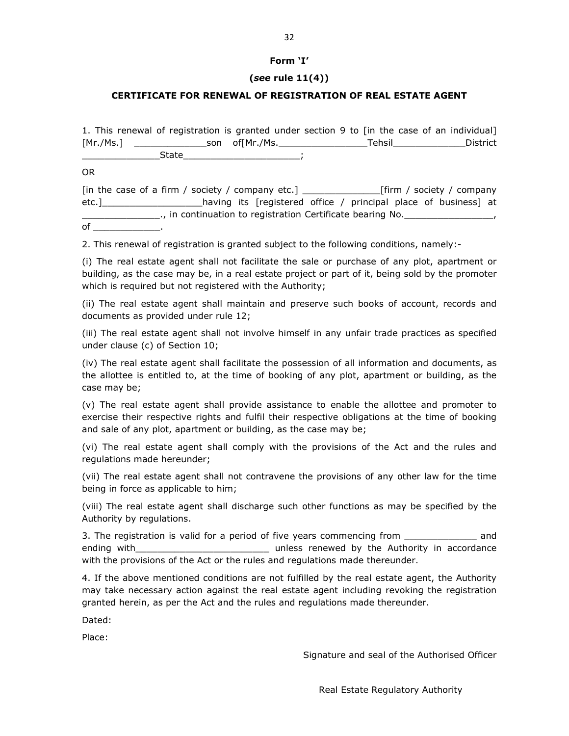#### **Form 'I'**

#### **(***see* **rule 11(4))**

#### **CERTIFICATE FOR RENEWAL OF REGISTRATION OF REAL ESTATE AGENT**

1. This renewal of registration is granted under section 9 to [in the case of an individual] [Mr./Ms.] \_\_\_\_\_\_\_\_\_\_\_\_\_son of[Mr./Ms.\_\_\_\_\_\_\_\_\_\_\_\_\_\_\_\_Tehsil\_\_\_\_\_\_\_\_\_\_\_\_\_District  $State$ 

OR

[in the case of a firm / society / company etc.] [firm / society / company etc.]\_\_\_\_\_\_\_\_\_\_\_\_\_\_\_\_\_\_having its [registered office / principal place of business] at \_\_\_\_\_\_\_\_\_\_\_\_\_\_., in continuation to registration Certificate bearing No.\_\_\_\_\_\_\_\_\_\_\_\_\_\_\_\_, of  $\_$ 

2. This renewal of registration is granted subject to the following conditions, namely:-

(i) The real estate agent shall not facilitate the sale or purchase of any plot, apartment or building, as the case may be, in a real estate project or part of it, being sold by the promoter which is required but not registered with the Authority;

(ii) The real estate agent shall maintain and preserve such books of account, records and documents as provided under rule 12;

(iii) The real estate agent shall not involve himself in any unfair trade practices as specified under clause (c) of Section 10;

(iv) The real estate agent shall facilitate the possession of all information and documents, as the allottee is entitled to, at the time of booking of any plot, apartment or building, as the case may be;

(v) The real estate agent shall provide assistance to enable the allottee and promoter to exercise their respective rights and fulfil their respective obligations at the time of booking and sale of any plot, apartment or building, as the case may be;

(vi) The real estate agent shall comply with the provisions of the Act and the rules and regulations made hereunder;

(vii) The real estate agent shall not contravene the provisions of any other law for the time being in force as applicable to him;

(viii) The real estate agent shall discharge such other functions as may be specified by the Authority by regulations.

3. The registration is valid for a period of five years commencing from \_\_\_\_\_\_\_\_\_\_\_\_\_\_ and ending with the same of the Sunless renewed by the Authority in accordance with the provisions of the Act or the rules and regulations made thereunder.

4. If the above mentioned conditions are not fulfilled by the real estate agent, the Authority may take necessary action against the real estate agent including revoking the registration granted herein, as per the Act and the rules and regulations made thereunder.

Dated:

Place:

Signature and seal of the Authorised Officer

32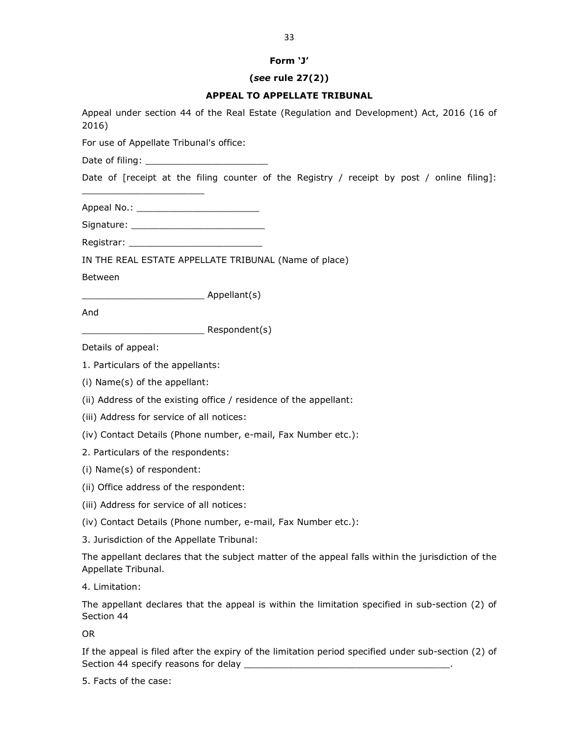#### **Form 'J'**

#### **(***see* **rule 27(2))**

#### **APPEAL TO APPELLATE TRIBUNAL**

Appeal under section 44 of the Real Estate (Regulation and Development) Act, 2016 (16 of 2016)

For use of Appellate Tribunal's office:

Date of filing: \_\_\_\_\_\_\_\_\_\_\_\_\_\_\_\_\_\_\_\_\_\_

Date of [receipt at the filing counter of the Registry / receipt by post / online filing]:

Appeal No.: \_\_\_\_\_\_\_\_\_\_\_\_\_\_\_\_\_\_\_\_\_\_

 $\frac{1}{2}$  ,  $\frac{1}{2}$  ,  $\frac{1}{2}$  ,  $\frac{1}{2}$  ,  $\frac{1}{2}$  ,  $\frac{1}{2}$  ,  $\frac{1}{2}$  ,  $\frac{1}{2}$  ,  $\frac{1}{2}$  ,  $\frac{1}{2}$  ,  $\frac{1}{2}$  ,  $\frac{1}{2}$  ,  $\frac{1}{2}$  ,  $\frac{1}{2}$  ,  $\frac{1}{2}$  ,  $\frac{1}{2}$  ,  $\frac{1}{2}$  ,  $\frac{1}{2}$  ,  $\frac{1$ 

Signature: \_\_\_\_\_\_\_\_\_\_\_\_\_\_\_\_\_\_\_\_\_\_\_\_

Registrar:

IN THE REAL ESTATE APPELLATE TRIBUNAL (Name of place)

Between

\_\_\_\_\_\_\_\_\_\_\_\_\_\_\_\_\_\_\_\_\_\_ Appellant(s)

And

\_\_\_\_\_\_\_\_\_\_\_\_\_\_\_\_\_\_\_\_\_\_ Respondent(s)

Details of appeal:

1. Particulars of the appellants:

(i) Name(s) of the appellant:

(ii) Address of the existing office / residence of the appellant:

(iii) Address for service of all notices:

(iv) Contact Details (Phone number, e-mail, Fax Number etc.):

2. Particulars of the respondents:

(i) Name(s) of respondent:

(ii) Office address of the respondent:

(iii) Address for service of all notices:

(iv) Contact Details (Phone number, e-mail, Fax Number etc.):

3. Jurisdiction of the Appellate Tribunal:

The appellant declares that the subject matter of the appeal falls within the jurisdiction of the Appellate Tribunal.

4. Limitation:

The appellant declares that the appeal is within the limitation specified in sub-section (2) of Section 44

OR

If the appeal is filed after the expiry of the limitation period specified under sub-section (2) of Section 44 specify reasons for delay \_\_\_\_\_\_\_\_\_\_\_\_\_\_\_\_\_\_\_\_\_\_\_\_\_\_\_\_\_\_\_\_\_\_\_\_\_.

5. Facts of the case: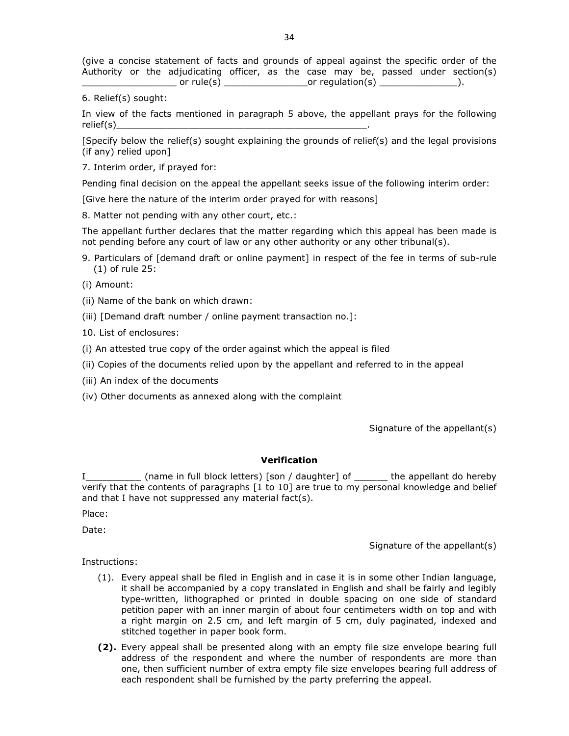(give a concise statement of facts and grounds of appeal against the specific order of the Authority or the adjudicating officer, as the case may be, passed under section(s)  $\Box$  or rule(s)  $\Box$  or regulation(s)  $\Box$   $\Box$ 

6. Relief(s) sought:

In view of the facts mentioned in paragraph 5 above, the appellant prays for the following relief(s)\_\_\_\_\_\_\_\_\_\_\_\_\_\_\_\_\_\_\_\_\_\_\_\_\_\_\_\_\_\_\_\_\_\_\_\_\_\_\_\_\_\_\_\_\_.

[Specify below the relief(s) sought explaining the grounds of relief(s) and the legal provisions (if any) relied upon]

7. Interim order, if prayed for:

Pending final decision on the appeal the appellant seeks issue of the following interim order:

[Give here the nature of the interim order prayed for with reasons]

8. Matter not pending with any other court, etc.:

The appellant further declares that the matter regarding which this appeal has been made is not pending before any court of law or any other authority or any other tribunal(s).

9. Particulars of [demand draft or online payment] in respect of the fee in terms of sub-rule (1) of rule 25:

(i) Amount:

(ii) Name of the bank on which drawn:

(iii) [Demand draft number / online payment transaction no.]:

10. List of enclosures:

(i) An attested true copy of the order against which the appeal is filed

(ii) Copies of the documents relied upon by the appellant and referred to in the appeal

(iii) An index of the documents

(iv) Other documents as annexed along with the complaint

Signature of the appellant(s)

#### **Verification**

I\_\_\_\_\_\_\_\_\_\_ (name in full block letters) [son / daughter] of \_\_\_\_\_\_ the appellant do hereby verify that the contents of paragraphs [1 to 10] are true to my personal knowledge and belief and that I have not suppressed any material fact(s).

Place:

Date:

Signature of the appellant(s)

Instructions:

- (1). Every appeal shall be filed in English and in case it is in some other Indian language, it shall be accompanied by a copy translated in English and shall be fairly and legibly type-written, lithographed or printed in double spacing on one side of standard petition paper with an inner margin of about four centimeters width on top and with a right margin on 2.5 cm, and left margin of 5 cm, duly paginated, indexed and stitched together in paper book form.
- **(2).** Every appeal shall be presented along with an empty file size envelope bearing full address of the respondent and where the number of respondents are more than one, then sufficient number of extra empty file size envelopes bearing full address of each respondent shall be furnished by the party preferring the appeal.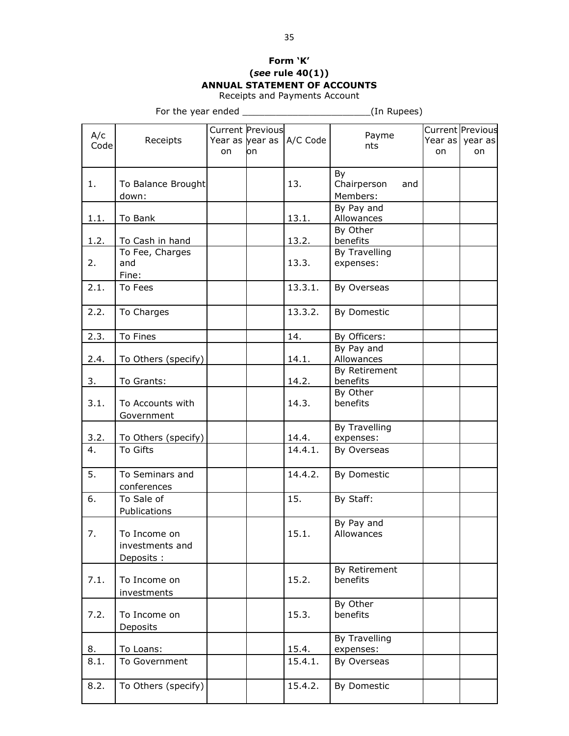# **Form 'K' (***see* **rule 40(1)) ANNUAL STATEMENT OF ACCOUNTS**

Receipts and Payments Account

|             |                                               |    |                               |                           | $\mathbf{u}$ . $\mathbf{u}$   |     |    |                                           |
|-------------|-----------------------------------------------|----|-------------------------------|---------------------------|-------------------------------|-----|----|-------------------------------------------|
| A/c<br>Code | Receipts                                      | on | <b>Current Previous</b><br>on | Year as year as  A/C Code | Payme<br>nts                  |     | on | Current Previous<br>Year as vear as<br>on |
| 1.          | To Balance Brought<br>down:                   |    |                               | 13.                       | By<br>Chairperson<br>Members: | and |    |                                           |
| 1.1.        | To Bank                                       |    |                               | 13.1.                     | By Pay and<br>Allowances      |     |    |                                           |
| 1.2.        | To Cash in hand                               |    |                               | 13.2.                     | By Other<br>benefits          |     |    |                                           |
| 2.          | To Fee, Charges<br>and<br>Fine:               |    |                               | 13.3.                     | By Travelling<br>expenses:    |     |    |                                           |
| 2.1.        | To Fees                                       |    |                               | 13.3.1.                   | By Overseas                   |     |    |                                           |
| 2.2.        | To Charges                                    |    |                               | 13.3.2.                   | By Domestic                   |     |    |                                           |
| 2.3.        | To Fines                                      |    |                               | 14.                       | By Officers:                  |     |    |                                           |
| 2.4.        | To Others (specify)                           |    |                               | 14.1.                     | By Pay and<br>Allowances      |     |    |                                           |
| 3.          | To Grants:                                    |    |                               | 14.2.                     | By Retirement<br>benefits     |     |    |                                           |
| 3.1.        | To Accounts with<br>Government                |    |                               | 14.3.                     | By Other<br>benefits          |     |    |                                           |
| 3.2.        | To Others (specify)                           |    |                               | 14.4.                     | By Travelling<br>expenses:    |     |    |                                           |
| 4.          | To Gifts                                      |    |                               | 14.4.1.                   | By Overseas                   |     |    |                                           |
| 5.          | To Seminars and<br>conferences                |    |                               | 14.4.2.                   | By Domestic                   |     |    |                                           |
| 6.          | To Sale of<br>Publications                    |    |                               | 15.                       | By Staff:                     |     |    |                                           |
| 7.          | To Income on<br>investments and<br>Deposits : |    |                               | 15.1.                     | By Pay and<br>Allowances      |     |    |                                           |
| 7.1.        | To Income on<br>investments                   |    |                               | 15.2.                     | By Retirement<br>benefits     |     |    |                                           |
| 7.2.        | To Income on<br>Deposits                      |    |                               | 15.3.                     | By Other<br>benefits          |     |    |                                           |
| 8.          | To Loans:                                     |    |                               | 15.4.                     | By Travelling<br>expenses:    |     |    |                                           |
| 8.1.        | To Government                                 |    |                               | 15.4.1.                   | By Overseas                   |     |    |                                           |
| 8.2.        | To Others (specify)                           |    |                               | 15.4.2.                   | By Domestic                   |     |    |                                           |
|             |                                               |    |                               |                           |                               |     |    |                                           |

For the year ended example the state of the year ended  $($ In Rupees)  $)$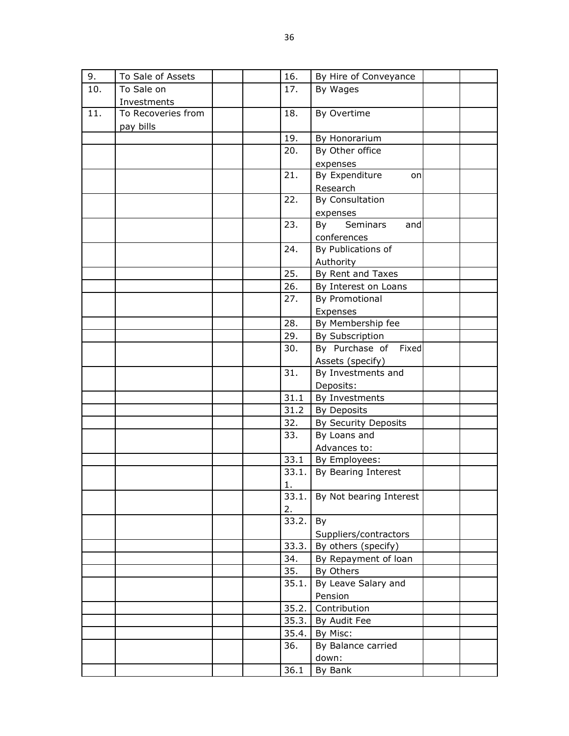| 9.  | To Sale of Assets  |  | 16.          | By Hire of Conveyance   |  |
|-----|--------------------|--|--------------|-------------------------|--|
| 10. | To Sale on         |  | 17.          | By Wages                |  |
|     | Investments        |  |              |                         |  |
| 11. | To Recoveries from |  | 18.          | By Overtime             |  |
|     | pay bills          |  |              |                         |  |
|     |                    |  | 19.          | By Honorarium           |  |
|     |                    |  | 20.          | By Other office         |  |
|     |                    |  |              | expenses                |  |
|     |                    |  | 21.          | By Expenditure<br>on    |  |
|     |                    |  |              | Research                |  |
|     |                    |  | 22.          | By Consultation         |  |
|     |                    |  |              | expenses                |  |
|     |                    |  | 23.          | By<br>Seminars<br>and   |  |
|     |                    |  |              | conferences             |  |
|     |                    |  | 24.          | By Publications of      |  |
|     |                    |  |              | Authority               |  |
|     |                    |  | 25.          | By Rent and Taxes       |  |
|     |                    |  | 26.          | By Interest on Loans    |  |
|     |                    |  | 27.          | By Promotional          |  |
|     |                    |  |              | Expenses                |  |
|     |                    |  | 28.          | By Membership fee       |  |
|     |                    |  | 29.          | By Subscription         |  |
|     |                    |  | 30.          | By Purchase of Fixed    |  |
|     |                    |  |              | Assets (specify)        |  |
|     |                    |  | 31.          | By Investments and      |  |
|     |                    |  |              | Deposits:               |  |
|     |                    |  | 31.1         | By Investments          |  |
|     |                    |  | 31.2         | By Deposits             |  |
|     |                    |  | 32.          | By Security Deposits    |  |
|     |                    |  | 33.          | By Loans and            |  |
|     |                    |  |              | Advances to:            |  |
|     |                    |  | 33.1         | By Employees:           |  |
|     |                    |  | 33.1.        | By Bearing Interest     |  |
|     |                    |  | $\mathbf{1}$ |                         |  |
|     |                    |  | 33.1.        | By Not bearing Interest |  |
|     |                    |  | 2.           |                         |  |
|     |                    |  | 33.2.        | By                      |  |
|     |                    |  |              | Suppliers/contractors   |  |
|     |                    |  | 33.3.        | By others (specify)     |  |
|     |                    |  | 34.          | By Repayment of loan    |  |
|     |                    |  | 35.          | By Others               |  |
|     |                    |  | 35.1.        | By Leave Salary and     |  |
|     |                    |  |              | Pension                 |  |
|     |                    |  | 35.2.        | Contribution            |  |
|     |                    |  | 35.3.        | By Audit Fee            |  |
|     |                    |  | 35.4.        | By Misc:                |  |
|     |                    |  | 36.          | By Balance carried      |  |
|     |                    |  |              | down:                   |  |
|     |                    |  | 36.1         | By Bank                 |  |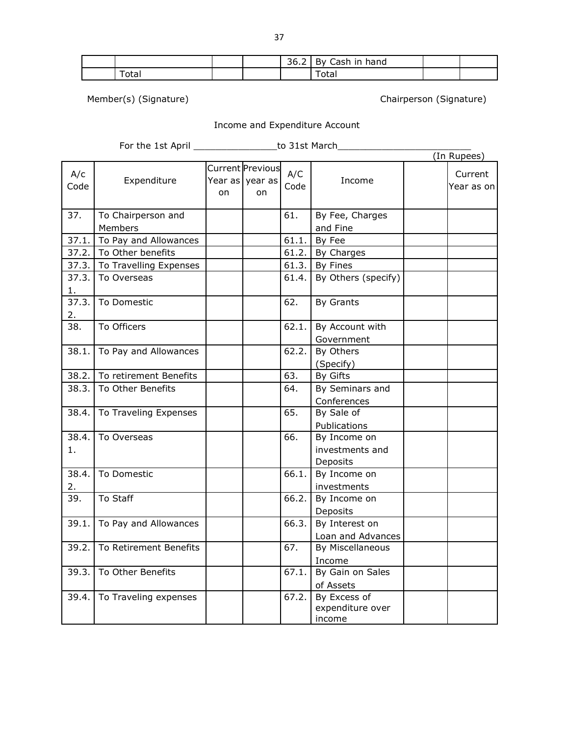|                   |  | 36.2 By Cash in hand |  |
|-------------------|--|----------------------|--|
| <sup>-</sup> otal |  | Totai                |  |

Member(s) (Signature) Chairperson (Signature)

# Income and Expenditure Account

For the 1st April \_\_\_\_\_\_\_\_\_\_\_\_\_\_\_\_\_\_\_\_\_to 31st March\_\_\_\_\_\_\_\_\_\_\_\_\_\_\_\_\_\_\_\_\_\_\_\_\_\_\_\_

|             |                               |    |                                           |             |                                             | (In Rupees)            |
|-------------|-------------------------------|----|-------------------------------------------|-------------|---------------------------------------------|------------------------|
| A/c<br>Code | Expenditure                   | on | Current Previous<br>Year as vear as<br>on | A/C<br>Code | Income                                      | Current<br>Year as onl |
| 37.         | To Chairperson and<br>Members |    |                                           | 61.         | By Fee, Charges<br>and Fine                 |                        |
| 37.1.       | To Pay and Allowances         |    |                                           | 61.1.       | By Fee                                      |                        |
|             | 37.2. To Other benefits       |    |                                           | 61.2.       | By Charges                                  |                        |
|             | 37.3. To Travelling Expenses  |    |                                           | 61.3.       | By Fines                                    |                        |
| 37.3.<br>1. | To Overseas                   |    |                                           | 61.4.       | By Others (specify)                         |                        |
| 37.3.<br>2. | To Domestic                   |    |                                           | 62.         | By Grants                                   |                        |
| 38.         | To Officers                   |    |                                           | 62.1.       | By Account with<br>Government               |                        |
| 38.1.       | To Pay and Allowances         |    |                                           | 62.2.       | By Others<br>(Specify)                      |                        |
| 38.2.       | To retirement Benefits        |    |                                           | 63.         | By Gifts                                    |                        |
| 38.3.       | To Other Benefits             |    |                                           | 64.         | By Seminars and<br>Conferences              |                        |
| 38.4.       | To Traveling Expenses         |    |                                           | 65.         | By Sale of<br>Publications                  |                        |
| 38.4.<br>1. | To Overseas                   |    |                                           | 66.         | By Income on<br>investments and<br>Deposits |                        |
| 38.4.<br>2. | To Domestic                   |    |                                           | 66.1.       | By Income on<br>investments                 |                        |
| 39.         | To Staff                      |    |                                           | 66.2.       | By Income on<br>Deposits                    |                        |
| 39.1.       | To Pay and Allowances         |    |                                           | 66.3.       | By Interest on<br>Loan and Advances         |                        |
| 39.2.       | To Retirement Benefits        |    |                                           | 67.         | By Miscellaneous<br>Income                  |                        |
| 39.3.       | To Other Benefits             |    |                                           | 67.1.       | By Gain on Sales<br>of Assets               |                        |
| 39.4.       | To Traveling expenses         |    |                                           | 67.2.       | By Excess of<br>expenditure over<br>income  |                        |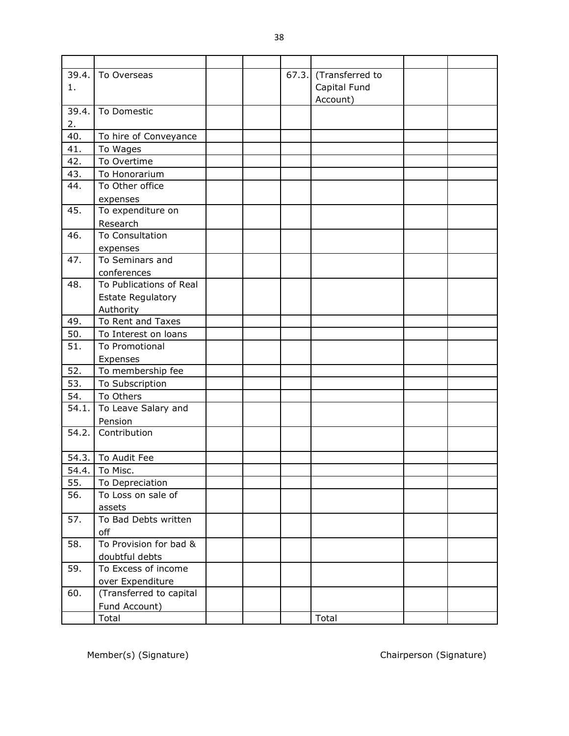| 39.4. | To Overseas              |  | 67.3. | (Transferred to |  |
|-------|--------------------------|--|-------|-----------------|--|
| 1.    |                          |  |       | Capital Fund    |  |
|       |                          |  |       | Account)        |  |
| 39.4. | To Domestic              |  |       |                 |  |
| 2.    |                          |  |       |                 |  |
| 40.   | To hire of Conveyance    |  |       |                 |  |
| 41.   | To Wages                 |  |       |                 |  |
| 42.   | To Overtime              |  |       |                 |  |
| 43.   | To Honorarium            |  |       |                 |  |
| 44.   | To Other office          |  |       |                 |  |
|       | expenses                 |  |       |                 |  |
| 45.   | To expenditure on        |  |       |                 |  |
|       | Research                 |  |       |                 |  |
| 46.   | To Consultation          |  |       |                 |  |
|       | expenses                 |  |       |                 |  |
| 47.   | To Seminars and          |  |       |                 |  |
|       | conferences              |  |       |                 |  |
| 48.   | To Publications of Real  |  |       |                 |  |
|       | <b>Estate Regulatory</b> |  |       |                 |  |
|       | Authority                |  |       |                 |  |
| 49.   | To Rent and Taxes        |  |       |                 |  |
| 50.   | To Interest on loans     |  |       |                 |  |
| 51.   | To Promotional           |  |       |                 |  |
|       | Expenses                 |  |       |                 |  |
| 52.   | To membership fee        |  |       |                 |  |
| 53.   | To Subscription          |  |       |                 |  |
| 54.   | To Others                |  |       |                 |  |
| 54.1. | To Leave Salary and      |  |       |                 |  |
|       | Pension                  |  |       |                 |  |
| 54.2. | Contribution             |  |       |                 |  |
|       |                          |  |       |                 |  |
|       | 54.3.   To Audit Fee     |  |       |                 |  |
|       | 54.4. To Misc.           |  |       |                 |  |
| 55.   | To Depreciation          |  |       |                 |  |
| 56.   | To Loss on sale of       |  |       |                 |  |
|       | assets                   |  |       |                 |  |
| 57.   | To Bad Debts written     |  |       |                 |  |
|       | off                      |  |       |                 |  |
| 58.   | To Provision for bad &   |  |       |                 |  |
|       | doubtful debts           |  |       |                 |  |
| 59.   | To Excess of income      |  |       |                 |  |
|       | over Expenditure         |  |       |                 |  |
| 60.   | (Transferred to capital  |  |       |                 |  |
|       | Fund Account)            |  |       |                 |  |
|       | Total                    |  |       | Total           |  |

Member(s) (Signature) Chairperson (Signature)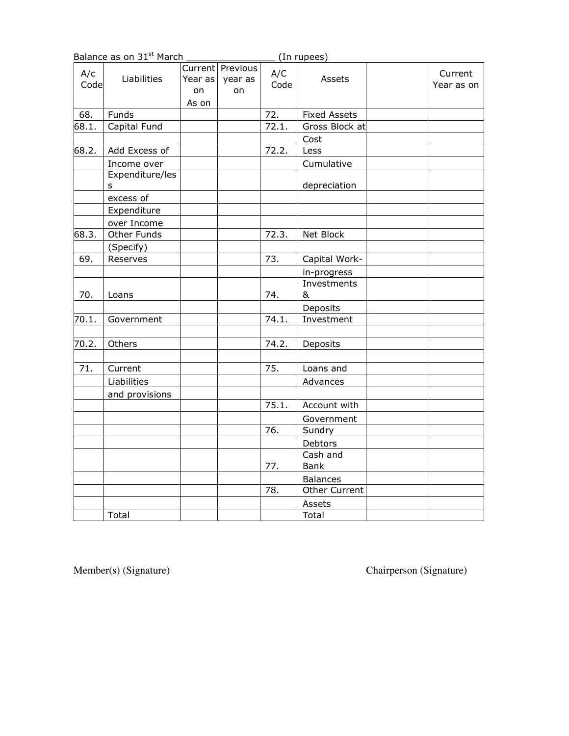|             | Balance as on 31 <sup>st</sup> March |                        |                                   |             | (In rupees)         |                       |
|-------------|--------------------------------------|------------------------|-----------------------------------|-------------|---------------------|-----------------------|
| A/c<br>Code | Liabilities                          | Year as<br>on<br>As on | Current Previous<br>year as<br>on | A/C<br>Code | Assets              | Current<br>Year as on |
| 68.         | Funds                                |                        |                                   | 72.         | <b>Fixed Assets</b> |                       |
| 68.1.       | Capital Fund                         |                        |                                   | 72.1.       | Gross Block at      |                       |
|             |                                      |                        |                                   |             | Cost                |                       |
| 68.2.       | Add Excess of                        |                        |                                   | 72.2.       | Less                |                       |
|             | Income over                          |                        |                                   |             | Cumulative          |                       |
|             | Expenditure/les<br>s                 |                        |                                   |             | depreciation        |                       |
|             | excess of                            |                        |                                   |             |                     |                       |
|             | Expenditure                          |                        |                                   |             |                     |                       |
|             | over Income                          |                        |                                   |             |                     |                       |
| 68.3.       | Other Funds                          |                        |                                   | 72.3.       | Net Block           |                       |
|             | (Specify)                            |                        |                                   |             |                     |                       |
| 69.         | Reserves                             |                        |                                   | 73.         | Capital Work-       |                       |
|             |                                      |                        |                                   |             | in-progress         |                       |
| 70.         | Loans                                |                        |                                   | 74.         | Investments<br>&    |                       |
|             |                                      |                        |                                   |             | Deposits            |                       |
| 70.1.       | Government                           |                        |                                   | 74.1.       | Investment          |                       |
|             |                                      |                        |                                   |             |                     |                       |
| 70.2.       | Others                               |                        |                                   | 74.2.       | Deposits            |                       |
|             |                                      |                        |                                   |             |                     |                       |
| 71.         | Current                              |                        |                                   | 75.         | Loans and           |                       |
|             | Liabilities                          |                        |                                   |             | Advances            |                       |
|             | and provisions                       |                        |                                   |             |                     |                       |
|             |                                      |                        |                                   | 75.1.       | Account with        |                       |
|             |                                      |                        |                                   |             | Government          |                       |
|             |                                      |                        |                                   | 76.         | Sundry              |                       |
|             |                                      |                        |                                   |             | Debtors             |                       |
|             |                                      |                        |                                   |             | Cash and            |                       |
|             |                                      |                        |                                   | 77.         | <b>Bank</b>         |                       |
|             |                                      |                        |                                   |             | <b>Balances</b>     |                       |
|             |                                      |                        |                                   | 78.         | Other Current       |                       |
|             |                                      |                        |                                   |             | Assets              |                       |
|             | Total                                |                        |                                   |             | Total               |                       |

Member(s) (Signature)

Chairperson (Signature)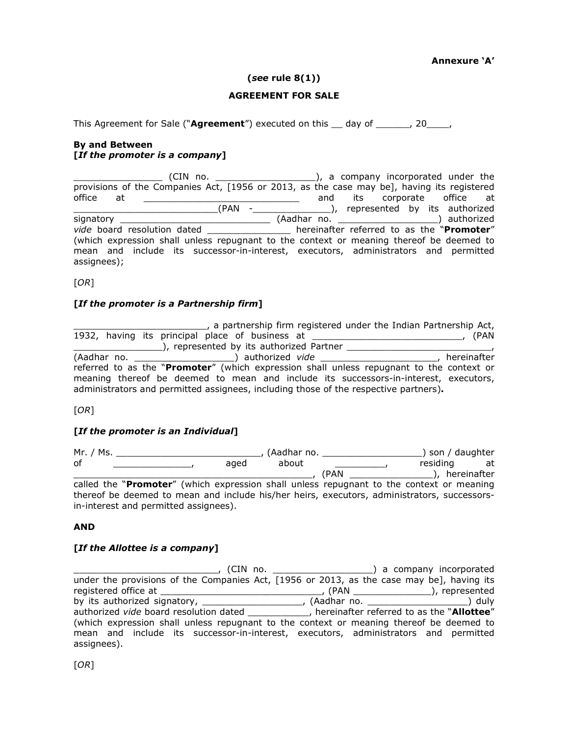#### **(***see* **rule 8(1))**

#### **AGREEMENT FOR SALE**

This Agreement for Sale ("**Agreement**") executed on this day of , 20  $\sigma$ ,

#### **By and Between [***If the promoter is a company***]**

\_\_\_\_\_\_\_\_\_\_\_\_\_\_\_\_ (CIN no. \_\_\_\_\_\_\_\_\_\_\_\_\_\_\_\_\_\_), a company incorporated under the provisions of the Companies Act, [1956 or 2013, as the case may be], having its registered office at \_\_\_\_\_\_\_\_\_\_\_\_\_\_\_\_\_\_\_\_\_\_\_\_\_\_\_\_\_ and its corporate office at \_\_\_\_\_\_\_\_\_\_\_\_\_\_\_\_\_\_\_\_\_\_\_\_\_\_(PAN -\_\_\_\_\_\_\_\_\_\_\_\_\_\_), represented by its authorized signatory \_\_\_\_\_\_\_\_\_\_\_\_\_\_\_\_\_\_\_\_\_\_\_\_\_\_\_ (Aadhar no. \_\_\_\_\_\_\_\_\_\_\_\_\_\_\_\_\_\_) authorized *vide* board resolution dated \_\_\_\_\_\_\_\_\_\_\_\_\_\_\_ hereinafter referred to as the "**Promoter**" (which expression shall unless repugnant to the context or meaning thereof be deemed to mean and include its successor-in-interest, executors, administrators and permitted assignees);

[*OR*]

#### **[***If the promoter is a Partnership firm***]**

<sub>\_\_\_\_</sub>, a partnership firm registered under the Indian Partnership Act, 1932, having its principal place of business at \_\_\_\_\_\_\_\_\_\_\_\_\_\_\_\_\_\_\_\_\_\_\_\_\_\_\_, (PAN \_\_\_\_\_\_\_\_\_\_\_\_\_\_\_\_), represented by its authorized Partner \_\_\_\_\_\_\_\_\_\_\_\_\_\_\_\_\_\_\_\_\_\_\_\_\_\_, (Aadhar no. \_\_\_\_\_\_\_\_\_\_\_\_\_\_\_\_\_\_) authorized *vide* \_\_\_\_\_\_\_\_\_\_\_\_\_\_\_\_\_\_\_\_\_, hereinafter referred to as the "**Promoter**" (which expression shall unless repugnant to the context or meaning thereof be deemed to mean and include its successors-in-interest, executors, administrators and permitted assignees, including those of the respective partners)**.** 

[*OR*]

#### **[***If the promoter is an Individual***]**

Mr. / Ms. \_\_\_\_\_\_\_\_\_\_\_\_\_\_\_\_\_\_\_\_\_\_\_\_\_\_, (Aadhar no. \_\_\_\_\_\_\_\_\_\_\_\_\_\_\_\_\_\_) son / daughter of \_\_\_\_\_\_\_\_\_\_\_\_\_\_\_\_\_, aged about \_\_\_\_\_\_\_\_\_\_\_\_, residing at \_\_\_\_\_\_\_\_\_\_\_\_\_\_\_\_\_\_\_\_\_\_\_\_\_\_\_\_\_\_\_\_\_\_\_\_\_\_\_\_\_\_\_, (PAN \_\_\_\_\_\_\_\_\_\_\_\_\_\_\_), hereinafter of aged about residing at<br>
called the "**Promoter**" (which expression shall unless repugnant to the context or meaning thereof be deemed to mean and include his/her heirs, executors, administrators, successorsin-interest and permitted assignees).

#### **AND**

#### **[***If the Allottee is a company***]**

\_\_\_\_\_\_\_\_\_\_\_\_\_\_\_\_\_\_\_\_\_\_\_\_\_\_, (CIN no. \_\_\_\_\_\_\_\_\_\_\_\_\_\_\_\_\_\_) a company incorporated under the provisions of the Companies Act, [1956 or 2013, as the case may be], having its registered office at \_\_\_\_\_\_\_\_\_\_\_\_\_\_\_\_\_\_\_\_\_\_\_\_\_\_\_\_\_, (PAN \_\_\_\_\_\_\_\_\_\_\_\_\_\_), represented by its authorized signatory, \_\_\_\_\_\_\_\_\_\_\_\_\_\_\_\_\_\_, (Aadhar no. \_\_\_\_\_\_\_\_\_\_\_\_\_\_\_\_\_\_) duly authorized *vide* board resolution dated \_\_\_\_\_\_\_\_\_\_\_, hereinafter referred to as the "**Allottee**" (which expression shall unless repugnant to the context or meaning thereof be deemed to mean and include its successor-in-interest, executors, administrators and permitted assignees).

[*OR*]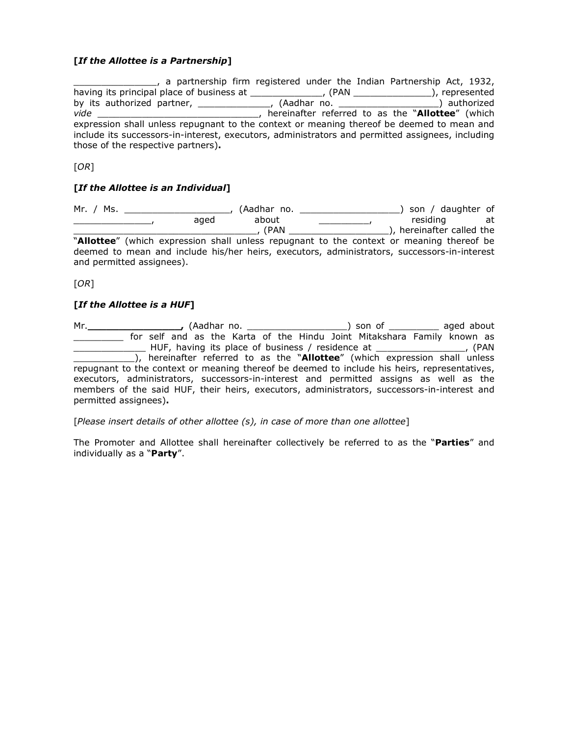#### **[***If the Allottee is a Partnership***]**

<sub>\_\_\_\_\_</sub>, a partnership firm registered under the Indian Partnership Act, 1932, having its principal place of business at \_\_\_\_\_\_\_\_\_\_\_\_\_, (PAN \_\_\_\_\_\_\_\_\_\_\_\_\_\_), represented by its authorized partner, \_\_\_\_\_\_\_\_\_\_\_\_\_, (Aadhar no. \_\_\_\_\_\_\_\_\_\_\_\_\_\_\_\_\_\_) authorized *vide* \_\_\_\_\_\_\_\_\_\_\_\_\_\_\_\_\_\_\_\_\_\_\_\_\_\_\_\_\_, hereinafter referred to as the "**Allottee**" (which expression shall unless repugnant to the context or meaning thereof be deemed to mean and include its successors-in-interest, executors, administrators and permitted assignees, including those of the respective partners)**.** 

[*OR*]

#### **[***If the Allottee is an Individual***]**

Mr. / Ms. \_\_\_\_\_\_\_\_\_\_\_\_\_\_\_\_\_\_\_, (Aadhar no. \_\_\_\_\_\_\_\_\_\_\_\_\_\_\_\_\_\_) son / daughter of \_\_\_\_\_\_\_\_\_\_\_\_\_\_\_\_\_\_\_, aged about \_\_\_\_\_\_\_\_\_\_\_\_\_, residing at \_\_\_\_\_\_\_\_\_\_\_\_\_\_\_\_\_\_\_\_\_\_\_\_\_\_\_\_\_\_\_\_\_, (PAN \_\_\_\_\_\_\_\_\_\_\_\_\_\_\_\_\_\_), hereinafter called the "**Allottee**" (which expression shall unless repugnant to the context or meaning thereof be deemed to mean and include his/her heirs, executors, administrators, successors-in-interest and permitted assignees).

[*OR*]

#### **[***If the Allottee is a HUF***]**

Mr.**\_\_\_\_\_\_\_\_\_\_\_\_\_\_\_,** (Aadhar no. \_\_\_\_\_\_\_\_\_\_\_\_\_\_\_\_\_\_) son of \_\_\_\_\_\_\_\_\_ aged about \_\_\_\_\_\_\_\_\_ for self and as the Karta of the Hindu Joint Mitakshara Family known as \_\_\_\_\_\_\_\_\_\_\_\_\_ HUF, having its place of business / residence at \_\_\_\_\_\_\_\_\_\_\_\_\_\_\_\_, (PAN \_\_\_\_\_\_\_\_\_\_\_), hereinafter referred to as the "**Allottee**" (which expression shall unless repugnant to the context or meaning thereof be deemed to include his heirs, representatives, executors, administrators, successors-in-interest and permitted assigns as well as the members of the said HUF, their heirs, executors, administrators, successors-in-interest and permitted assignees)**.** 

[*Please insert details of other allottee (s), in case of more than one allottee*]

The Promoter and Allottee shall hereinafter collectively be referred to as the "**Parties**" and individually as a "**Party**".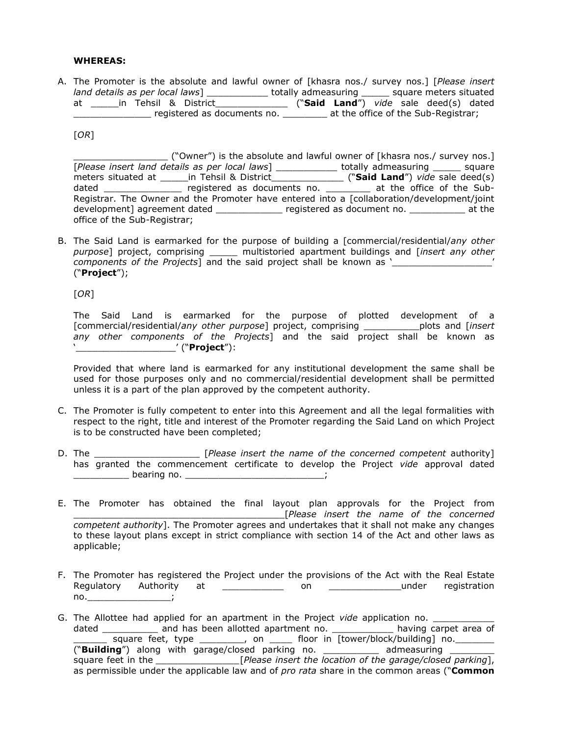#### **WHEREAS:**

A. The Promoter is the absolute and lawful owner of [khasra nos./ survey nos.] [*Please insert land details as per local laws*] \_\_\_\_\_\_\_\_\_\_\_ totally admeasuring \_\_\_\_\_ square meters situated at \_\_\_\_\_in Tehsil & District\_\_\_\_\_\_\_\_\_\_\_\_\_ ("**Said Land**") *vide* sale deed(s) dated \_\_\_\_\_\_\_\_\_\_\_\_\_\_ registered as documents no. \_\_\_\_\_\_\_\_ at the office of the Sub-Registrar;

[*OR*]

\_\_\_\_\_\_\_\_\_\_\_\_\_\_\_\_\_ ("Owner") is the absolute and lawful owner of [khasra nos./ survey nos.] [*Please insert land details as per local laws*] \_\_\_\_\_\_\_\_\_\_\_ totally admeasuring \_\_\_\_\_ square meters situated at \_\_\_\_\_in Tehsil & District\_\_\_\_\_\_\_\_\_\_\_\_\_ ("**Said Land**") *vide* sale deed(s) dated \_\_\_\_\_\_\_\_\_\_\_\_\_\_ registered as documents no. \_\_\_\_\_\_\_\_ at the office of the Sub-Registrar. The Owner and the Promoter have entered into a [collaboration/development/joint development] agreement dated \_\_\_\_\_\_\_\_\_\_\_\_\_\_ registered as document no. \_\_\_\_\_\_\_\_\_\_\_ at the office of the Sub-Registrar;

B. The Said Land is earmarked for the purpose of building a [commercial/residential/*any other purpose*] project, comprising \_\_\_\_\_ multistoried apartment buildings and [*insert any other components of the Projects*] and the said project shall be known as ' ("**Project**");

[*OR*]

The Said Land is earmarked for the purpose of plotted development of a [commercial/residential/*any other purpose*] project, comprising \_\_\_\_\_\_\_\_\_\_plots and [*insert any other components of the Projects*] and the said project shall be known as '\_\_\_\_\_\_\_\_\_\_\_\_\_\_\_\_\_\_' ("**Project**"):

Provided that where land is earmarked for any institutional development the same shall be used for those purposes only and no commercial/residential development shall be permitted unless it is a part of the plan approved by the competent authority.

- C. The Promoter is fully competent to enter into this Agreement and all the legal formalities with respect to the right, title and interest of the Promoter regarding the Said Land on which Project is to be constructed have been completed;
- D. The \_\_\_\_\_\_\_\_\_\_\_\_\_\_\_\_\_\_\_ [*Please insert the name of the concerned competent* authority] has granted the commencement certificate to develop the Project *vide* approval dated \_\_\_\_\_\_\_\_\_\_\_\_\_\_\_\_\_ bearing no. \_\_\_\_\_\_\_\_\_\_\_\_\_\_\_\_\_\_\_\_\_\_\_\_\_\_\_\_\_\_\_\_\_\_;
- E. The Promoter has obtained the final layout plan approvals for the Project from \_\_\_\_\_\_\_\_\_\_\_\_\_\_\_\_\_\_\_\_\_\_\_\_\_\_\_\_\_\_\_\_\_\_\_\_\_\_[*Please insert the name of the concerned competent authority*]. The Promoter agrees and undertakes that it shall not make any changes to these layout plans except in strict compliance with section 14 of the Act and other laws as applicable;
- F. The Promoter has registered the Project under the provisions of the Act with the Real Estate Regulatory Authority at \_\_\_\_\_\_\_\_\_\_\_ on \_\_\_\_\_\_\_\_\_\_\_\_\_under registration no.\_\_\_\_\_\_\_\_\_\_\_\_\_\_\_;
- G. The Allottee had applied for an apartment in the Project *vide* application no. dated \_\_\_\_\_\_\_\_\_\_\_\_ and has been allotted apartment no. \_\_\_\_\_\_\_\_\_\_\_\_\_\_ having carpet area of square feet, type \_\_\_\_\_\_\_\_, on \_\_\_\_ floor in [tower/block/building] no. \_\_\_\_\_\_\_ ("**Building**") along with garage/closed parking no. \_\_\_\_\_\_\_\_\_\_ admeasuring \_\_\_\_\_\_\_\_ square feet in the *\_\_\_\_\_\_\_\_\_\_\_\_\_\_\_*[*Please insert the location of the garage/closed parking*], as permissible under the applicable law and of *pro rata* share in the common areas ("**Common**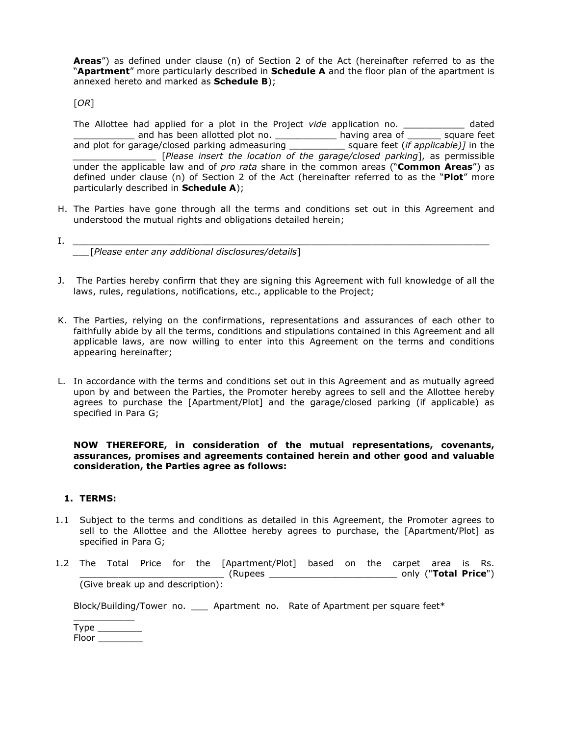**Areas**") as defined under clause (n) of Section 2 of the Act (hereinafter referred to as the "**Apartment**" more particularly described in **Schedule A** and the floor plan of the apartment is annexed hereto and marked as **Schedule B**);

[*OR*]

The Allottee had applied for a plot in the Project *vide* application no. \_\_\_\_\_\_\_\_\_\_\_ dated \_\_\_\_\_\_\_\_\_\_\_ and has been allotted plot no. \_\_\_\_\_\_\_\_\_\_\_ having area of \_\_\_\_\_\_ square feet and plot for garage/closed parking admeasuring \_\_\_\_\_\_\_\_\_\_ square feet (*if applicable)]* in the *\_\_\_\_\_\_\_\_\_\_\_\_\_\_\_* [*Please insert the location of the garage/closed parking*], as permissible under the applicable law and of *pro rata* share in the common areas ("**Common Areas**") as defined under clause (n) of Section 2 of the Act (hereinafter referred to as the "**Plot**" more particularly described in **Schedule A**);

- H. The Parties have gone through all the terms and conditions set out in this Agreement and understood the mutual rights and obligations detailed herein;
- I. *\_\_\_\_\_\_\_\_\_\_\_\_\_\_\_\_\_\_\_\_\_\_\_\_\_\_\_\_\_\_\_\_\_\_\_\_\_\_\_\_\_\_\_\_\_\_\_\_\_\_\_\_\_\_\_\_\_\_\_\_\_\_\_\_\_\_\_\_\_\_\_\_\_\_\_ \_\_\_*[*Please enter any additional disclosures/details*]
- J. The Parties hereby confirm that they are signing this Agreement with full knowledge of all the laws, rules, regulations, notifications, etc., applicable to the Project;
- K. The Parties, relying on the confirmations, representations and assurances of each other to faithfully abide by all the terms, conditions and stipulations contained in this Agreement and all applicable laws, are now willing to enter into this Agreement on the terms and conditions appearing hereinafter;
- L. In accordance with the terms and conditions set out in this Agreement and as mutually agreed upon by and between the Parties, the Promoter hereby agrees to sell and the Allottee hereby agrees to purchase the [Apartment/Plot] and the garage/closed parking (if applicable) as specified in Para G;

**NOW THEREFORE, in consideration of the mutual representations, covenants, assurances, promises and agreements contained herein and other good and valuable consideration, the Parties agree as follows:** 

#### **1. TERMS:**

- 1.1 Subject to the terms and conditions as detailed in this Agreement, the Promoter agrees to sell to the Allottee and the Allottee hereby agrees to purchase, the [Apartment/Plot] as specified in Para G;
- 1.2 The Total Price for the [Apartment/Plot] based on the carpet area is Rs. \_\_\_\_\_\_\_\_\_\_\_\_\_\_\_\_\_\_\_\_\_\_\_\_\_\_ (Rupees \_\_\_\_\_\_\_\_\_\_\_\_\_\_\_\_\_\_\_\_\_\_\_ only ("**Total Price**") (Give break up and description):

Block/Building/Tower no. \_\_\_ Apartment no. Rate of Apartment per square feet\*

| Type  |  |
|-------|--|
| Floor |  |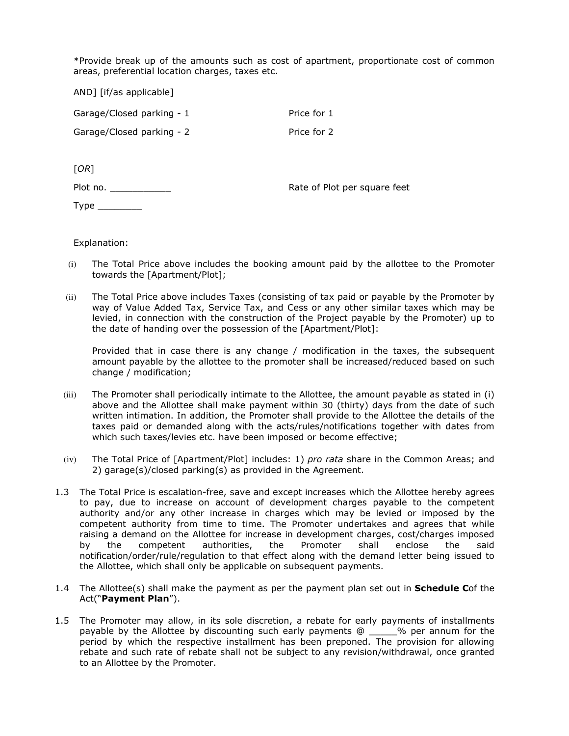\*Provide break up of the amounts such as cost of apartment, proportionate cost of common areas, preferential location charges, taxes etc.

AND] [if/as applicable]

Garage/Closed parking - 1 Price for 1 Garage/Closed parking - 2 Price for 2

[*OR*]

Plot no.

Rate of Plot per square feet

Type  $\rule{1em}{0.15mm}$ 

Explanation:

- (i) The Total Price above includes the booking amount paid by the allottee to the Promoter towards the [Apartment/Plot];
- (ii) The Total Price above includes Taxes (consisting of tax paid or payable by the Promoter by way of Value Added Tax, Service Tax, and Cess or any other similar taxes which may be levied, in connection with the construction of the Project payable by the Promoter) up to the date of handing over the possession of the [Apartment/Plot]:

Provided that in case there is any change / modification in the taxes, the subsequent amount payable by the allottee to the promoter shall be increased/reduced based on such change / modification;

- (iii) The Promoter shall periodically intimate to the Allottee, the amount payable as stated in (i) above and the Allottee shall make payment within 30 (thirty) days from the date of such written intimation. In addition, the Promoter shall provide to the Allottee the details of the taxes paid or demanded along with the acts/rules/notifications together with dates from which such taxes/levies etc. have been imposed or become effective;
- (iv) The Total Price of [Apartment/Plot] includes: 1) *pro rata* share in the Common Areas; and 2) garage(s)/closed parking(s) as provided in the Agreement.
- 1.3 The Total Price is escalation-free, save and except increases which the Allottee hereby agrees to pay, due to increase on account of development charges payable to the competent authority and/or any other increase in charges which may be levied or imposed by the competent authority from time to time. The Promoter undertakes and agrees that while raising a demand on the Allottee for increase in development charges, cost/charges imposed by the competent authorities, the Promoter shall enclose the said notification/order/rule/regulation to that effect along with the demand letter being issued to the Allottee, which shall only be applicable on subsequent payments.
- 1.4 The Allottee(s) shall make the payment as per the payment plan set out in **Schedule C**of the Act("**Payment Plan**").
- 1.5 The Promoter may allow, in its sole discretion, a rebate for early payments of installments payable by the Allottee by discounting such early payments @ \_\_\_\_\_% per annum for the period by which the respective installment has been preponed. The provision for allowing rebate and such rate of rebate shall not be subject to any revision/withdrawal, once granted to an Allottee by the Promoter.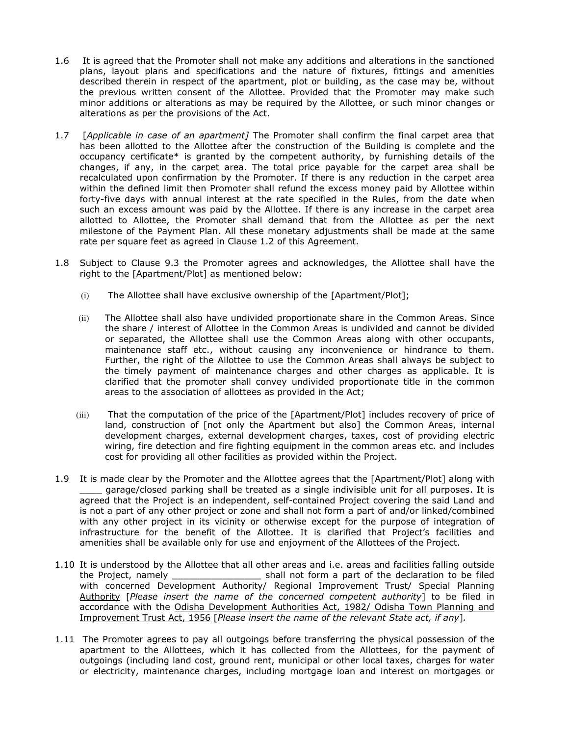- 1.6 It is agreed that the Promoter shall not make any additions and alterations in the sanctioned plans, layout plans and specifications and the nature of fixtures, fittings and amenities described therein in respect of the apartment, plot or building, as the case may be, without the previous written consent of the Allottee. Provided that the Promoter may make such minor additions or alterations as may be required by the Allottee, or such minor changes or alterations as per the provisions of the Act.
- 1.7 [*Applicable in case of an apartment]* The Promoter shall confirm the final carpet area that has been allotted to the Allottee after the construction of the Building is complete and the occupancy certificate\* is granted by the competent authority, by furnishing details of the changes, if any, in the carpet area. The total price payable for the carpet area shall be recalculated upon confirmation by the Promoter. If there is any reduction in the carpet area within the defined limit then Promoter shall refund the excess money paid by Allottee within forty-five days with annual interest at the rate specified in the Rules, from the date when such an excess amount was paid by the Allottee. If there is any increase in the carpet area allotted to Allottee, the Promoter shall demand that from the Allottee as per the next milestone of the Payment Plan. All these monetary adjustments shall be made at the same rate per square feet as agreed in Clause 1.2 of this Agreement.
- 1.8 Subject to Clause 9.3 the Promoter agrees and acknowledges, the Allottee shall have the right to the [Apartment/Plot] as mentioned below:
	- (i) The Allottee shall have exclusive ownership of the [Apartment/Plot];
	- (ii) The Allottee shall also have undivided proportionate share in the Common Areas. Since the share / interest of Allottee in the Common Areas is undivided and cannot be divided or separated, the Allottee shall use the Common Areas along with other occupants, maintenance staff etc., without causing any inconvenience or hindrance to them. Further, the right of the Allottee to use the Common Areas shall always be subject to the timely payment of maintenance charges and other charges as applicable. It is clarified that the promoter shall convey undivided proportionate title in the common areas to the association of allottees as provided in the Act;
	- (iii) That the computation of the price of the [Apartment/Plot] includes recovery of price of land, construction of [not only the Apartment but also] the Common Areas, internal development charges, external development charges, taxes, cost of providing electric wiring, fire detection and fire fighting equipment in the common areas etc. and includes cost for providing all other facilities as provided within the Project.
- 1.9 It is made clear by the Promoter and the Allottee agrees that the [Apartment/Plot] along with \_\_\_\_ garage/closed parking shall be treated as a single indivisible unit for all purposes. It is agreed that the Project is an independent, self-contained Project covering the said Land and is not a part of any other project or zone and shall not form a part of and/or linked/combined with any other project in its vicinity or otherwise except for the purpose of integration of infrastructure for the benefit of the Allottee. It is clarified that Project's facilities and amenities shall be available only for use and enjoyment of the Allottees of the Project.
- 1.10 It is understood by the Allottee that all other areas and i.e. areas and facilities falling outside the Project, namely \_\_\_\_\_\_\_\_\_\_\_\_\_\_\_\_ shall not form a part of the declaration to be filed with concerned Development Authority/ Regional Improvement Trust/ Special Planning Authority [*Please insert the name of the concerned competent authority*] to be filed in accordance with the Odisha Development Authorities Act, 1982/ Odisha Town Planning and Improvement Trust Act, 1956 [*Please insert the name of the relevant State act, if any*]*.*
- 1.11 The Promoter agrees to pay all outgoings before transferring the physical possession of the apartment to the Allottees, which it has collected from the Allottees, for the payment of outgoings (including land cost, ground rent, municipal or other local taxes, charges for water or electricity, maintenance charges, including mortgage loan and interest on mortgages or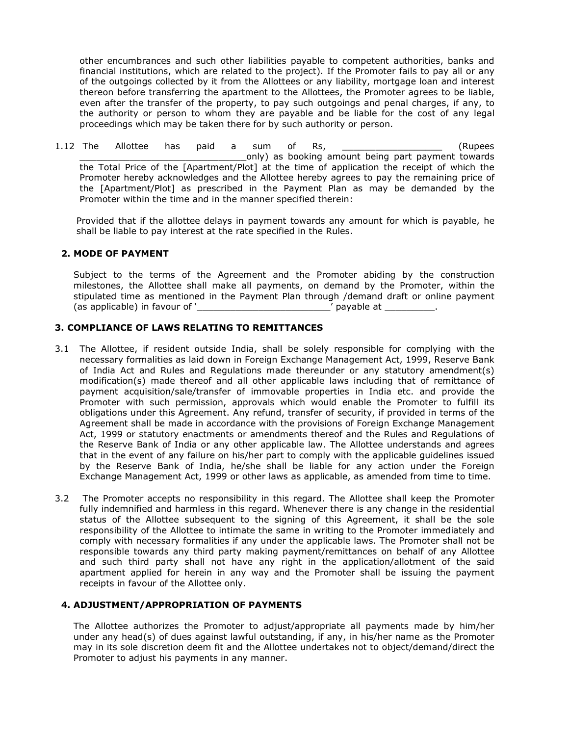other encumbrances and such other liabilities payable to competent authorities, banks and financial institutions, which are related to the project). If the Promoter fails to pay all or any of the outgoings collected by it from the Allottees or any liability, mortgage loan and interest thereon before transferring the apartment to the Allottees, the Promoter agrees to be liable, even after the transfer of the property, to pay such outgoings and penal charges, if any, to the authority or person to whom they are payable and be liable for the cost of any legal proceedings which may be taken there for by such authority or person.

1.12 The Allottee has paid a sum of Rs, \_\_\_\_\_\_\_\_\_\_\_\_\_\_\_\_\_\_ (Rupees only) as booking amount being part payment towards the Total Price of the [Apartment/Plot] at the time of application the receipt of which the Promoter hereby acknowledges and the Allottee hereby agrees to pay the remaining price of the [Apartment/Plot] as prescribed in the Payment Plan as may be demanded by the Promoter within the time and in the manner specified therein:

Provided that if the allottee delays in payment towards any amount for which is payable, he shall be liable to pay interest at the rate specified in the Rules.

#### **2. MODE OF PAYMENT**

Subject to the terms of the Agreement and the Promoter abiding by the construction milestones, the Allottee shall make all payments, on demand by the Promoter, within the stipulated time as mentioned in the Payment Plan through /demand draft or online payment (as applicable) in favour of '\_\_\_\_\_\_\_\_\_\_\_\_\_\_\_\_\_\_\_\_\_\_\_\_' payable at \_\_\_\_\_\_\_\_\_.

#### **3. COMPLIANCE OF LAWS RELATING TO REMITTANCES**

- 3.1 The Allottee, if resident outside India, shall be solely responsible for complying with the necessary formalities as laid down in Foreign Exchange Management Act, 1999, Reserve Bank of India Act and Rules and Regulations made thereunder or any statutory amendment(s) modification(s) made thereof and all other applicable laws including that of remittance of payment acquisition/sale/transfer of immovable properties in India etc. and provide the Promoter with such permission, approvals which would enable the Promoter to fulfill its obligations under this Agreement. Any refund, transfer of security, if provided in terms of the Agreement shall be made in accordance with the provisions of Foreign Exchange Management Act, 1999 or statutory enactments or amendments thereof and the Rules and Regulations of the Reserve Bank of India or any other applicable law. The Allottee understands and agrees that in the event of any failure on his/her part to comply with the applicable guidelines issued by the Reserve Bank of India, he/she shall be liable for any action under the Foreign Exchange Management Act, 1999 or other laws as applicable, as amended from time to time.
- 3.2 The Promoter accepts no responsibility in this regard. The Allottee shall keep the Promoter fully indemnified and harmless in this regard. Whenever there is any change in the residential status of the Allottee subsequent to the signing of this Agreement, it shall be the sole responsibility of the Allottee to intimate the same in writing to the Promoter immediately and comply with necessary formalities if any under the applicable laws. The Promoter shall not be responsible towards any third party making payment/remittances on behalf of any Allottee and such third party shall not have any right in the application/allotment of the said apartment applied for herein in any way and the Promoter shall be issuing the payment receipts in favour of the Allottee only.

#### **4. ADJUSTMENT/APPROPRIATION OF PAYMENTS**

The Allottee authorizes the Promoter to adjust/appropriate all payments made by him/her under any head(s) of dues against lawful outstanding, if any, in his/her name as the Promoter may in its sole discretion deem fit and the Allottee undertakes not to object/demand/direct the Promoter to adjust his payments in any manner.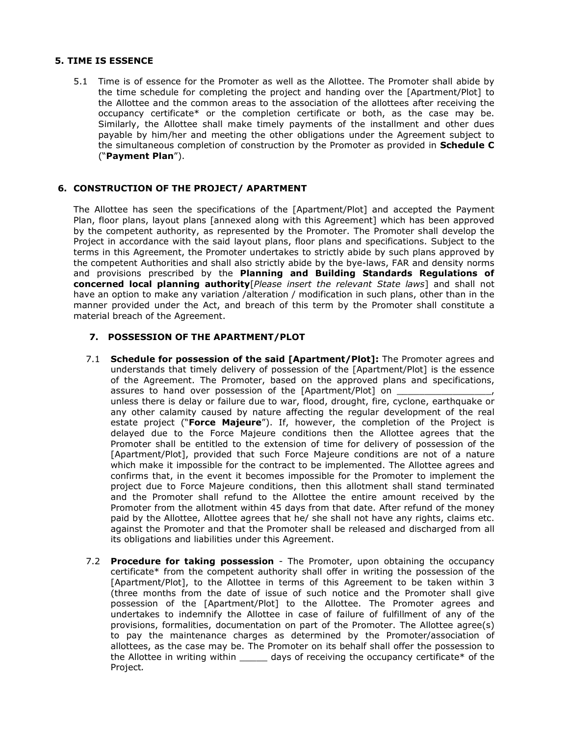#### **5. TIME IS ESSENCE**

5.1 Time is of essence for the Promoter as well as the Allottee. The Promoter shall abide by the time schedule for completing the project and handing over the [Apartment/Plot] to the Allottee and the common areas to the association of the allottees after receiving the occupancy certificate\* or the completion certificate or both, as the case may be. Similarly, the Allottee shall make timely payments of the installment and other dues payable by him/her and meeting the other obligations under the Agreement subject to the simultaneous completion of construction by the Promoter as provided in **Schedule C**  ("**Payment Plan**").

#### **6. CONSTRUCTION OF THE PROJECT/ APARTMENT**

The Allottee has seen the specifications of the [Apartment/Plot] and accepted the Payment Plan, floor plans, layout plans [annexed along with this Agreement] which has been approved by the competent authority, as represented by the Promoter. The Promoter shall develop the Project in accordance with the said layout plans, floor plans and specifications. Subject to the terms in this Agreement, the Promoter undertakes to strictly abide by such plans approved by the competent Authorities and shall also strictly abide by the bye-laws, FAR and density norms and provisions prescribed by the **Planning and Building Standards Regulations of concerned local planning authority**[*Please insert the relevant State laws*] and shall not have an option to make any variation /alteration / modification in such plans, other than in the manner provided under the Act, and breach of this term by the Promoter shall constitute a material breach of the Agreement.

#### **7. POSSESSION OF THE APARTMENT/PLOT**

- 7.1 **Schedule for possession of the said [Apartment/Plot]:** The Promoter agrees and understands that timely delivery of possession of the [Apartment/Plot] is the essence of the Agreement. The Promoter, based on the approved plans and specifications, assures to hand over possession of the [Apartment/Plot] on unless there is delay or failure due to war, flood, drought, fire, cyclone, earthquake or any other calamity caused by nature affecting the regular development of the real estate project ("**Force Majeure**"). If, however, the completion of the Project is delayed due to the Force Majeure conditions then the Allottee agrees that the Promoter shall be entitled to the extension of time for delivery of possession of the [Apartment/Plot], provided that such Force Majeure conditions are not of a nature which make it impossible for the contract to be implemented. The Allottee agrees and confirms that, in the event it becomes impossible for the Promoter to implement the project due to Force Majeure conditions, then this allotment shall stand terminated and the Promoter shall refund to the Allottee the entire amount received by the Promoter from the allotment within 45 days from that date. After refund of the money paid by the Allottee, Allottee agrees that he/ she shall not have any rights, claims etc. against the Promoter and that the Promoter shall be released and discharged from all its obligations and liabilities under this Agreement.
- 7.2 **Procedure for taking possession**  The Promoter, upon obtaining the occupancy certificate\* from the competent authority shall offer in writing the possession of the [Apartment/Plot], to the Allottee in terms of this Agreement to be taken within 3 (three months from the date of issue of such notice and the Promoter shall give possession of the [Apartment/Plot] to the Allottee. The Promoter agrees and undertakes to indemnify the Allottee in case of failure of fulfillment of any of the provisions, formalities, documentation on part of the Promoter. The Allottee agree(s) to pay the maintenance charges as determined by the Promoter/association of allottees, as the case may be. The Promoter on its behalf shall offer the possession to the Allottee in writing within  $\qquad \qquad$  days of receiving the occupancy certificate\* of the Project*.*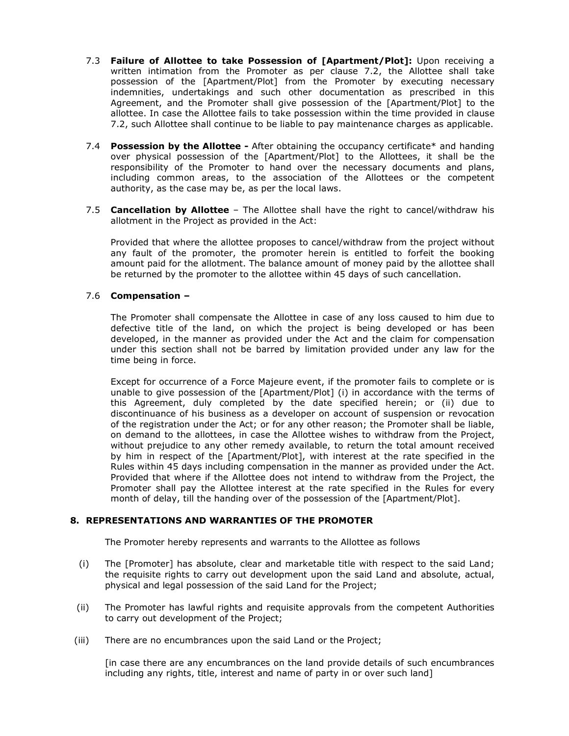- 7.3 **Failure of Allottee to take Possession of [Apartment/Plot]:** Upon receiving a written intimation from the Promoter as per clause 7.2, the Allottee shall take possession of the [Apartment/Plot] from the Promoter by executing necessary indemnities, undertakings and such other documentation as prescribed in this Agreement, and the Promoter shall give possession of the [Apartment/Plot] to the allottee. In case the Allottee fails to take possession within the time provided in clause 7.2, such Allottee shall continue to be liable to pay maintenance charges as applicable.
- 7.4 **Possession by the Allottee** After obtaining the occupancy certificate\* and handing over physical possession of the [Apartment/Plot] to the Allottees, it shall be the responsibility of the Promoter to hand over the necessary documents and plans, including common areas, to the association of the Allottees or the competent authority, as the case may be, as per the local laws.
- 7.5 **Cancellation by Allottee**  The Allottee shall have the right to cancel/withdraw his allotment in the Project as provided in the Act:

Provided that where the allottee proposes to cancel/withdraw from the project without any fault of the promoter, the promoter herein is entitled to forfeit the booking amount paid for the allotment. The balance amount of money paid by the allottee shall be returned by the promoter to the allottee within 45 days of such cancellation.

#### 7.6 **Compensation –**

The Promoter shall compensate the Allottee in case of any loss caused to him due to defective title of the land, on which the project is being developed or has been developed, in the manner as provided under the Act and the claim for compensation under this section shall not be barred by limitation provided under any law for the time being in force.

Except for occurrence of a Force Majeure event, if the promoter fails to complete or is unable to give possession of the [Apartment/Plot] (i) in accordance with the terms of this Agreement, duly completed by the date specified herein; or (ii) due to discontinuance of his business as a developer on account of suspension or revocation of the registration under the Act; or for any other reason; the Promoter shall be liable, on demand to the allottees, in case the Allottee wishes to withdraw from the Project, without prejudice to any other remedy available, to return the total amount received by him in respect of the [Apartment/Plot], with interest at the rate specified in the Rules within 45 days including compensation in the manner as provided under the Act. Provided that where if the Allottee does not intend to withdraw from the Project, the Promoter shall pay the Allottee interest at the rate specified in the Rules for every month of delay, till the handing over of the possession of the [Apartment/Plot].

#### **8. REPRESENTATIONS AND WARRANTIES OF THE PROMOTER**

The Promoter hereby represents and warrants to the Allottee as follows

- (i) The [Promoter] has absolute, clear and marketable title with respect to the said Land; the requisite rights to carry out development upon the said Land and absolute, actual, physical and legal possession of the said Land for the Project;
- (ii) The Promoter has lawful rights and requisite approvals from the competent Authorities to carry out development of the Project;
- (iii) There are no encumbrances upon the said Land or the Project;

[in case there are any encumbrances on the land provide details of such encumbrances including any rights, title, interest and name of party in or over such land]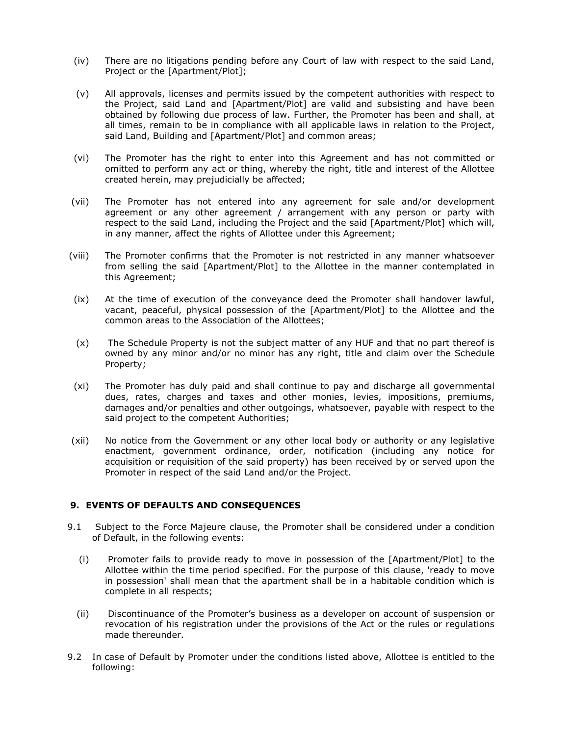- (iv) There are no litigations pending before any Court of law with respect to the said Land, Project or the [Apartment/Plot];
- (v) All approvals, licenses and permits issued by the competent authorities with respect to the Project, said Land and [Apartment/Plot] are valid and subsisting and have been obtained by following due process of law. Further, the Promoter has been and shall, at all times, remain to be in compliance with all applicable laws in relation to the Project, said Land, Building and [Apartment/Plot] and common areas;
- (vi) The Promoter has the right to enter into this Agreement and has not committed or omitted to perform any act or thing, whereby the right, title and interest of the Allottee created herein, may prejudicially be affected;
- (vii) The Promoter has not entered into any agreement for sale and/or development agreement or any other agreement / arrangement with any person or party with respect to the said Land, including the Project and the said [Apartment/Plot] which will, in any manner, affect the rights of Allottee under this Agreement;
- (viii) The Promoter confirms that the Promoter is not restricted in any manner whatsoever from selling the said [Apartment/Plot] to the Allottee in the manner contemplated in this Agreement;
- (ix) At the time of execution of the conveyance deed the Promoter shall handover lawful, vacant, peaceful, physical possession of the [Apartment/Plot] to the Allottee and the common areas to the Association of the Allottees;
- (x) The Schedule Property is not the subject matter of any HUF and that no part thereof is owned by any minor and/or no minor has any right, title and claim over the Schedule Property;
- (xi) The Promoter has duly paid and shall continue to pay and discharge all governmental dues, rates, charges and taxes and other monies, levies, impositions, premiums, damages and/or penalties and other outgoings, whatsoever, payable with respect to the said project to the competent Authorities;
- (xii) No notice from the Government or any other local body or authority or any legislative enactment, government ordinance, order, notification (including any notice for acquisition or requisition of the said property) has been received by or served upon the Promoter in respect of the said Land and/or the Project.

#### **9. EVENTS OF DEFAULTS AND CONSEQUENCES**

- 9.1 Subject to the Force Majeure clause, the Promoter shall be considered under a condition of Default, in the following events:
	- (i) Promoter fails to provide ready to move in possession of the [Apartment/Plot] to the Allottee within the time period specified. For the purpose of this clause, 'ready to move in possession' shall mean that the apartment shall be in a habitable condition which is complete in all respects;
	- (ii) Discontinuance of the Promoter's business as a developer on account of suspension or revocation of his registration under the provisions of the Act or the rules or regulations made thereunder.
- 9.2 In case of Default by Promoter under the conditions listed above, Allottee is entitled to the following: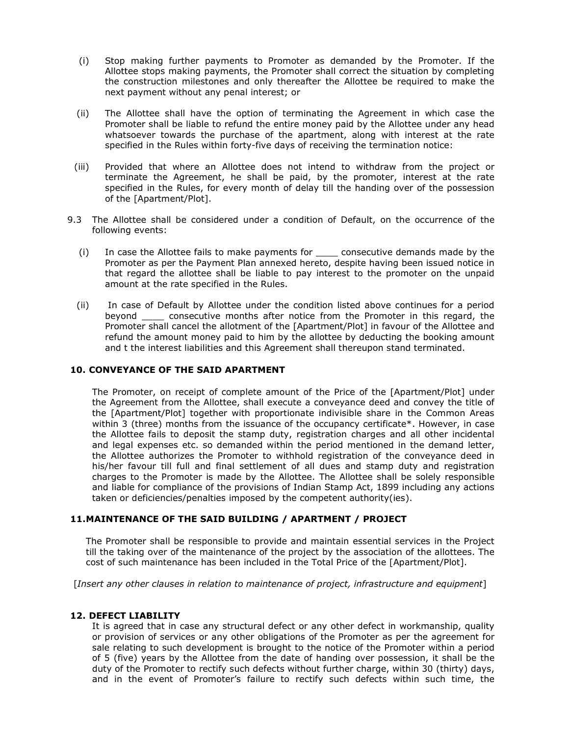- (i) Stop making further payments to Promoter as demanded by the Promoter. If the Allottee stops making payments, the Promoter shall correct the situation by completing the construction milestones and only thereafter the Allottee be required to make the next payment without any penal interest; or
- (ii) The Allottee shall have the option of terminating the Agreement in which case the Promoter shall be liable to refund the entire money paid by the Allottee under any head whatsoever towards the purchase of the apartment, along with interest at the rate specified in the Rules within forty-five days of receiving the termination notice:
- (iii) Provided that where an Allottee does not intend to withdraw from the project or terminate the Agreement, he shall be paid, by the promoter, interest at the rate specified in the Rules, for every month of delay till the handing over of the possession of the [Apartment/Plot].
- 9.3 The Allottee shall be considered under a condition of Default, on the occurrence of the following events:
	- (i) In case the Allottee fails to make payments for \_\_\_\_ consecutive demands made by the Promoter as per the Payment Plan annexed hereto, despite having been issued notice in that regard the allottee shall be liable to pay interest to the promoter on the unpaid amount at the rate specified in the Rules.
	- (ii) In case of Default by Allottee under the condition listed above continues for a period beyond \_\_\_\_ consecutive months after notice from the Promoter in this regard, the Promoter shall cancel the allotment of the [Apartment/Plot] in favour of the Allottee and refund the amount money paid to him by the allottee by deducting the booking amount and t the interest liabilities and this Agreement shall thereupon stand terminated.

#### **10. CONVEYANCE OF THE SAID APARTMENT**

The Promoter, on receipt of complete amount of the Price of the [Apartment/Plot] under the Agreement from the Allottee, shall execute a conveyance deed and convey the title of the [Apartment/Plot] together with proportionate indivisible share in the Common Areas within 3 (three) months from the issuance of the occupancy certificate\*. However, in case the Allottee fails to deposit the stamp duty, registration charges and all other incidental and legal expenses etc. so demanded within the period mentioned in the demand letter, the Allottee authorizes the Promoter to withhold registration of the conveyance deed in his/her favour till full and final settlement of all dues and stamp duty and registration charges to the Promoter is made by the Allottee. The Allottee shall be solely responsible and liable for compliance of the provisions of Indian Stamp Act, 1899 including any actions taken or deficiencies/penalties imposed by the competent authority(ies).

#### **11.MAINTENANCE OF THE SAID BUILDING / APARTMENT / PROJECT**

The Promoter shall be responsible to provide and maintain essential services in the Project till the taking over of the maintenance of the project by the association of the allottees. The cost of such maintenance has been included in the Total Price of the [Apartment/Plot].

[*Insert any other clauses in relation to maintenance of project, infrastructure and equipment*]

#### **12. DEFECT LIABILITY**

It is agreed that in case any structural defect or any other defect in workmanship, quality or provision of services or any other obligations of the Promoter as per the agreement for sale relating to such development is brought to the notice of the Promoter within a period of 5 (five) years by the Allottee from the date of handing over possession, it shall be the duty of the Promoter to rectify such defects without further charge, within 30 (thirty) days, and in the event of Promoter's failure to rectify such defects within such time, the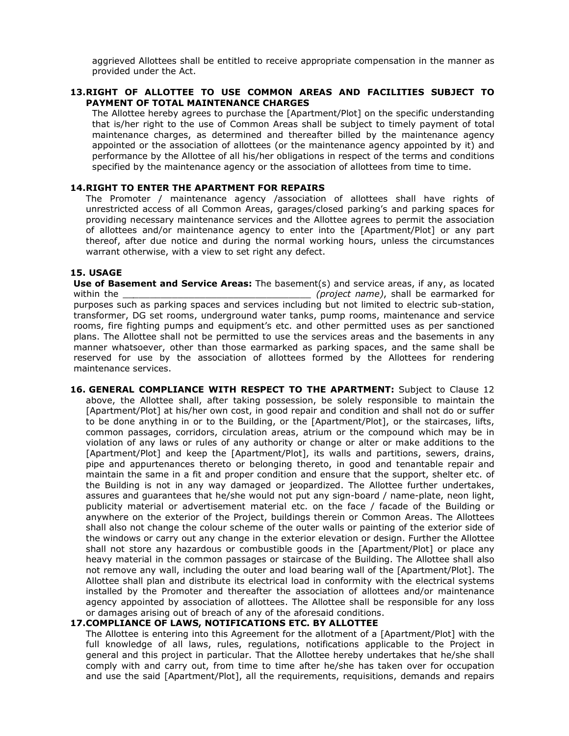aggrieved Allottees shall be entitled to receive appropriate compensation in the manner as provided under the Act.

#### **13.RIGHT OF ALLOTTEE TO USE COMMON AREAS AND FACILITIES SUBJECT TO PAYMENT OF TOTAL MAINTENANCE CHARGES**

The Allottee hereby agrees to purchase the [Apartment/Plot] on the specific understanding that is/her right to the use of Common Areas shall be subject to timely payment of total maintenance charges, as determined and thereafter billed by the maintenance agency appointed or the association of allottees (or the maintenance agency appointed by it) and performance by the Allottee of all his/her obligations in respect of the terms and conditions specified by the maintenance agency or the association of allottees from time to time.

#### **14.RIGHT TO ENTER THE APARTMENT FOR REPAIRS**

The Promoter / maintenance agency /association of allottees shall have rights of unrestricted access of all Common Areas, garages/closed parking's and parking spaces for providing necessary maintenance services and the Allottee agrees to permit the association of allottees and/or maintenance agency to enter into the [Apartment/Plot] or any part thereof, after due notice and during the normal working hours, unless the circumstances warrant otherwise, with a view to set right any defect.

#### **15. USAGE**

**Use of Basement and Service Areas:** The basement(s) and service areas, if any, as located within the \_\_*\_\_\_\_\_\_\_\_\_\_\_\_\_\_\_\_\_\_\_\_\_\_\_\_\_\_\_\_\_\_\_\_ (project name)*, shall be earmarked for purposes such as parking spaces and services including but not limited to electric sub-station, transformer, DG set rooms, underground water tanks, pump rooms, maintenance and service rooms, fire fighting pumps and equipment's etc. and other permitted uses as per sanctioned plans. The Allottee shall not be permitted to use the services areas and the basements in any manner whatsoever, other than those earmarked as parking spaces, and the same shall be reserved for use by the association of allottees formed by the Allottees for rendering maintenance services.

**16. GENERAL COMPLIANCE WITH RESPECT TO THE APARTMENT:** Subject to Clause 12 above, the Allottee shall, after taking possession, be solely responsible to maintain the [Apartment/Plot] at his/her own cost, in good repair and condition and shall not do or suffer to be done anything in or to the Building, or the [Apartment/Plot], or the staircases, lifts, common passages, corridors, circulation areas, atrium or the compound which may be in violation of any laws or rules of any authority or change or alter or make additions to the [Apartment/Plot] and keep the [Apartment/Plot], its walls and partitions, sewers, drains, pipe and appurtenances thereto or belonging thereto, in good and tenantable repair and maintain the same in a fit and proper condition and ensure that the support, shelter etc. of the Building is not in any way damaged or jeopardized. The Allottee further undertakes, assures and guarantees that he/she would not put any sign-board / name-plate, neon light, publicity material or advertisement material etc. on the face / facade of the Building or anywhere on the exterior of the Project, buildings therein or Common Areas. The Allottees shall also not change the colour scheme of the outer walls or painting of the exterior side of the windows or carry out any change in the exterior elevation or design. Further the Allottee shall not store any hazardous or combustible goods in the [Apartment/Plot] or place any heavy material in the common passages or staircase of the Building. The Allottee shall also not remove any wall, including the outer and load bearing wall of the [Apartment/Plot]. The Allottee shall plan and distribute its electrical load in conformity with the electrical systems installed by the Promoter and thereafter the association of allottees and/or maintenance agency appointed by association of allottees. The Allottee shall be responsible for any loss or damages arising out of breach of any of the aforesaid conditions.

#### **17.COMPLIANCE OF LAWS, NOTIFICATIONS ETC. BY ALLOTTEE**

The Allottee is entering into this Agreement for the allotment of a [Apartment/Plot] with the full knowledge of all laws, rules, regulations, notifications applicable to the Project in general and this project in particular. That the Allottee hereby undertakes that he/she shall comply with and carry out, from time to time after he/she has taken over for occupation and use the said [Apartment/Plot], all the requirements, requisitions, demands and repairs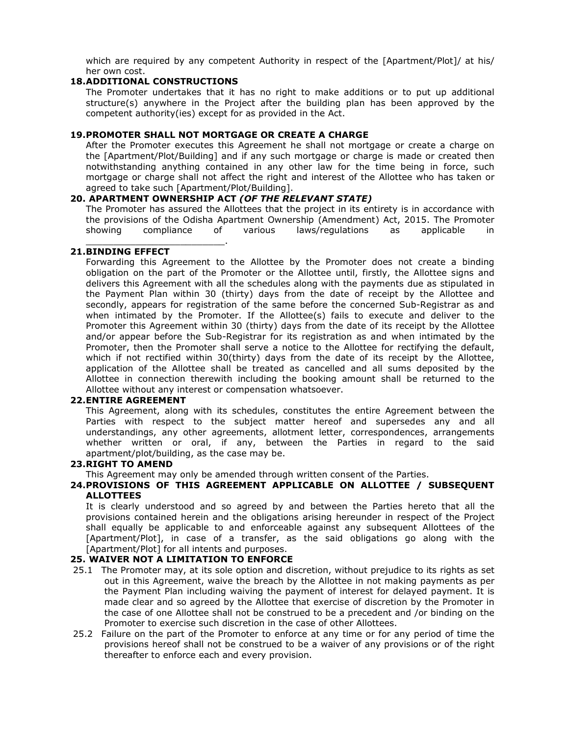which are required by any competent Authority in respect of the [Apartment/Plot]/ at his/ her own cost.

#### **18.ADDITIONAL CONSTRUCTIONS**

\_\_\_\_\_\_\_\_\_\_\_\_\_\_\_\_\_\_\_\_\_\_\_\_\_.

The Promoter undertakes that it has no right to make additions or to put up additional structure(s) anywhere in the Project after the building plan has been approved by the competent authority(ies) except for as provided in the Act.

#### **19.PROMOTER SHALL NOT MORTGAGE OR CREATE A CHARGE**

After the Promoter executes this Agreement he shall not mortgage or create a charge on the [Apartment/Plot/Building] and if any such mortgage or charge is made or created then notwithstanding anything contained in any other law for the time being in force, such mortgage or charge shall not affect the right and interest of the Allottee who has taken or agreed to take such [Apartment/Plot/Building].

#### **20. APARTMENT OWNERSHIP ACT** *(OF THE RELEVANT STATE)*

The Promoter has assured the Allottees that the project in its entirety is in accordance with the provisions of the Odisha Apartment Ownership (Amendment) Act, 2015. The Promoter showing compliance of various laws/regulations as applicable in

#### **21.BINDING EFFECT**

Forwarding this Agreement to the Allottee by the Promoter does not create a binding obligation on the part of the Promoter or the Allottee until, firstly, the Allottee signs and delivers this Agreement with all the schedules along with the payments due as stipulated in the Payment Plan within 30 (thirty) days from the date of receipt by the Allottee and secondly, appears for registration of the same before the concerned Sub-Registrar as and when intimated by the Promoter. If the Allottee(s) fails to execute and deliver to the Promoter this Agreement within 30 (thirty) days from the date of its receipt by the Allottee and/or appear before the Sub-Registrar for its registration as and when intimated by the Promoter, then the Promoter shall serve a notice to the Allottee for rectifying the default, which if not rectified within 30(thirty) days from the date of its receipt by the Allottee, application of the Allottee shall be treated as cancelled and all sums deposited by the Allottee in connection therewith including the booking amount shall be returned to the Allottee without any interest or compensation whatsoever.

#### **22.ENTIRE AGREEMENT**

This Agreement, along with its schedules, constitutes the entire Agreement between the Parties with respect to the subject matter hereof and supersedes any and all understandings, any other agreements, allotment letter, correspondences, arrangements whether written or oral, if any, between the Parties in regard to the said apartment/plot/building, as the case may be.

#### **23.RIGHT TO AMEND**

This Agreement may only be amended through written consent of the Parties.

#### **24.PROVISIONS OF THIS AGREEMENT APPLICABLE ON ALLOTTEE / SUBSEQUENT ALLOTTEES**

It is clearly understood and so agreed by and between the Parties hereto that all the provisions contained herein and the obligations arising hereunder in respect of the Project shall equally be applicable to and enforceable against any subsequent Allottees of the [Apartment/Plot], in case of a transfer, as the said obligations go along with the [Apartment/Plot] for all intents and purposes.

#### **25. WAIVER NOT A LIMITATION TO ENFORCE**

- 25.1 The Promoter may, at its sole option and discretion, without prejudice to its rights as set out in this Agreement, waive the breach by the Allottee in not making payments as per the Payment Plan including waiving the payment of interest for delayed payment. It is made clear and so agreed by the Allottee that exercise of discretion by the Promoter in the case of one Allottee shall not be construed to be a precedent and /or binding on the Promoter to exercise such discretion in the case of other Allottees.
- 25.2 Failure on the part of the Promoter to enforce at any time or for any period of time the provisions hereof shall not be construed to be a waiver of any provisions or of the right thereafter to enforce each and every provision.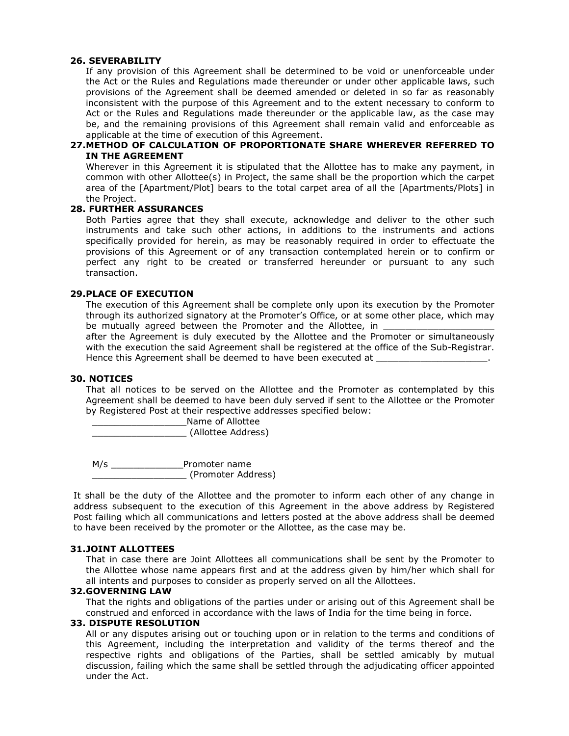#### **26. SEVERABILITY**

If any provision of this Agreement shall be determined to be void or unenforceable under the Act or the Rules and Regulations made thereunder or under other applicable laws, such provisions of the Agreement shall be deemed amended or deleted in so far as reasonably inconsistent with the purpose of this Agreement and to the extent necessary to conform to Act or the Rules and Regulations made thereunder or the applicable law, as the case may be, and the remaining provisions of this Agreement shall remain valid and enforceable as applicable at the time of execution of this Agreement.

#### **27.METHOD OF CALCULATION OF PROPORTIONATE SHARE WHEREVER REFERRED TO IN THE AGREEMENT**

Wherever in this Agreement it is stipulated that the Allottee has to make any payment, in common with other Allottee(s) in Project, the same shall be the proportion which the carpet area of the [Apartment/Plot] bears to the total carpet area of all the [Apartments/Plots] in the Project.

#### **28. FURTHER ASSURANCES**

Both Parties agree that they shall execute, acknowledge and deliver to the other such instruments and take such other actions, in additions to the instruments and actions specifically provided for herein, as may be reasonably required in order to effectuate the provisions of this Agreement or of any transaction contemplated herein or to confirm or perfect any right to be created or transferred hereunder or pursuant to any such transaction.

#### **29.PLACE OF EXECUTION**

The execution of this Agreement shall be complete only upon its execution by the Promoter through its authorized signatory at the Promoter's Office, or at some other place, which may be mutually agreed between the Promoter and the Allottee, in

after the Agreement is duly executed by the Allottee and the Promoter or simultaneously with the execution the said Agreement shall be registered at the office of the Sub-Registrar. Hence this Agreement shall be deemed to have been executed at

#### **30. NOTICES**

That all notices to be served on the Allottee and the Promoter as contemplated by this Agreement shall be deemed to have been duly served if sent to the Allottee or the Promoter by Registered Post at their respective addresses specified below:

\_\_\_\_\_\_\_\_\_\_\_\_\_\_\_\_\_Name of Allottee \_\_\_\_\_\_\_\_\_\_\_\_\_\_\_\_\_ (Allottee Address)

M/s \_\_\_\_\_\_\_\_\_\_\_\_\_\_\_\_Promoter name \_\_\_\_\_\_\_\_\_\_\_\_\_\_\_\_\_ (Promoter Address)

It shall be the duty of the Allottee and the promoter to inform each other of any change in address subsequent to the execution of this Agreement in the above address by Registered Post failing which all communications and letters posted at the above address shall be deemed to have been received by the promoter or the Allottee, as the case may be.

#### **31.JOINT ALLOTTEES**

That in case there are Joint Allottees all communications shall be sent by the Promoter to the Allottee whose name appears first and at the address given by him/her which shall for all intents and purposes to consider as properly served on all the Allottees.

#### **32.GOVERNING LAW**

That the rights and obligations of the parties under or arising out of this Agreement shall be construed and enforced in accordance with the laws of India for the time being in force.

#### **33. DISPUTE RESOLUTION**

All or any disputes arising out or touching upon or in relation to the terms and conditions of this Agreement, including the interpretation and validity of the terms thereof and the respective rights and obligations of the Parties, shall be settled amicably by mutual discussion, failing which the same shall be settled through the adjudicating officer appointed under the Act.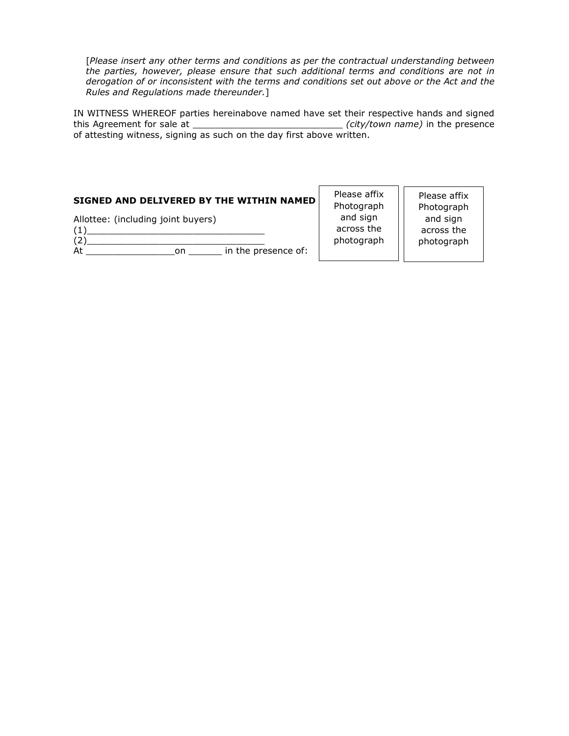[*Please insert any other terms and conditions as per the contractual understanding between the parties, however, please ensure that such additional terms and conditions are not in derogation of or inconsistent with the terms and conditions set out above or the Act and the Rules and Regulations made thereunder.*]

IN WITNESS WHEREOF parties hereinabove named have set their respective hands and signed this Agreement for sale at \_\_\_\_\_\_\_\_\_\_\_\_\_\_\_\_\_\_\_\_\_\_\_\_\_\_\_ *(city/town name)* in the presence of attesting witness, signing as such on the day first above written.

| SIGNED AND DELIVERED BY THE WITHIN NAMED                               | Please affix<br>Photograph           | Please affix<br>Photograph           |
|------------------------------------------------------------------------|--------------------------------------|--------------------------------------|
| Allottee: (including joint buyers)<br>in the presence of:<br>At<br>on. | and sign<br>across the<br>photograph | and sign<br>across the<br>photograph |